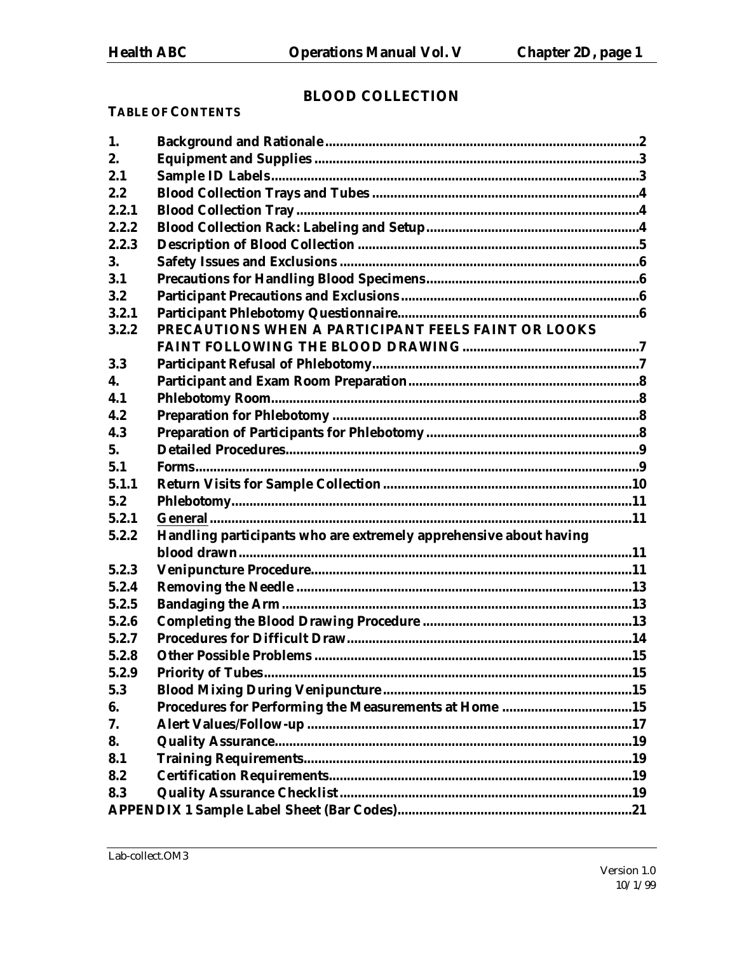# **BLOOD COLLECTION**

#### **TABLE OF CONTENTS**

| 1.    |                                                                   |
|-------|-------------------------------------------------------------------|
| 2.    |                                                                   |
| 2.1   |                                                                   |
| 2.2   |                                                                   |
| 2.2.1 |                                                                   |
| 2.2.2 |                                                                   |
| 2.2.3 |                                                                   |
| 3.    |                                                                   |
| 3.1   |                                                                   |
| 3.2   |                                                                   |
| 3.2.1 |                                                                   |
| 3.2.2 | PRECAUTIONS WHEN A PARTICIPANT FEELS FAINT OR LOOKS               |
|       |                                                                   |
| 3.3   |                                                                   |
| 4.    |                                                                   |
| 4.1   |                                                                   |
| 4.2   |                                                                   |
| 4.3   |                                                                   |
| 5.    |                                                                   |
| 5.1   |                                                                   |
| 5.1.1 |                                                                   |
| 5.2   |                                                                   |
| 5.2.1 |                                                                   |
| 5.2.2 | Handling participants who are extremely apprehensive about having |
|       |                                                                   |
| 5.2.3 |                                                                   |
| 5.2.4 |                                                                   |
| 5.2.5 |                                                                   |
| 5.2.6 |                                                                   |
| 5.2.7 |                                                                   |
| 5.2.8 |                                                                   |
| 5.2.9 |                                                                   |
| 5.3   |                                                                   |
| 6.    | Procedures for Performing the Measurements at Home 15             |
| 7.    |                                                                   |
| 8.    |                                                                   |
| 8.1   |                                                                   |
| 8.2   |                                                                   |
| 8.3   |                                                                   |
|       |                                                                   |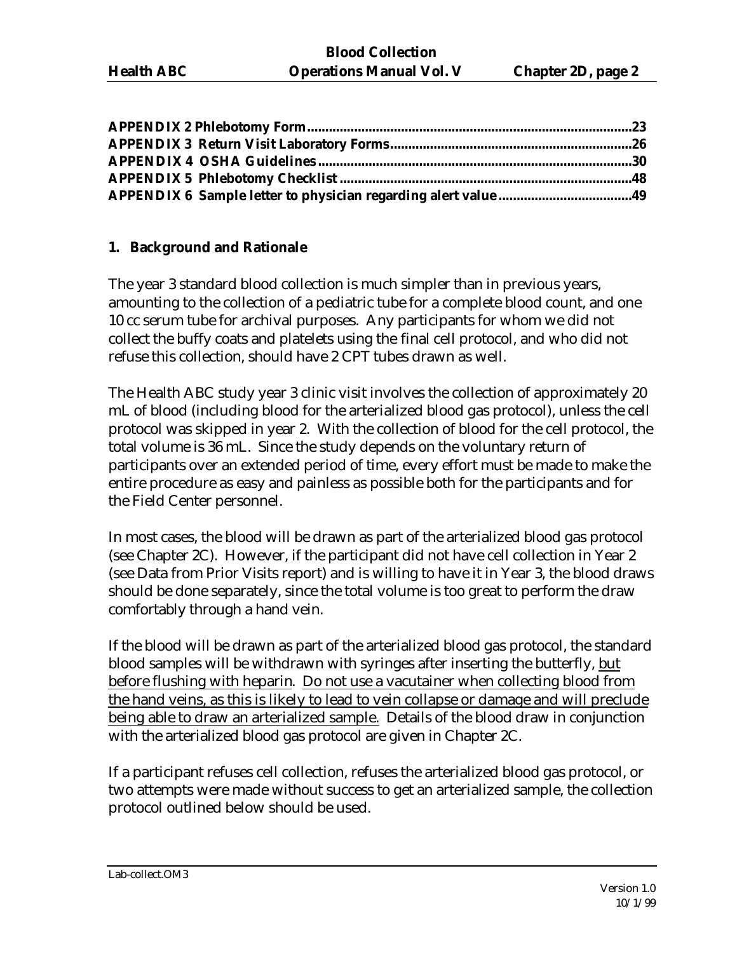#### **1. Background and Rationale**

The year 3 standard blood collection is much simpler than in previous years, amounting to the collection of a pediatric tube for a complete blood count, and one 10 cc serum tube for archival purposes. Any participants for whom we did not collect the buffy coats and platelets using the final cell protocol, and who did not refuse this collection, should have 2 CPT tubes drawn as well.

The Health ABC study year 3 clinic visit involves the collection of approximately 20 mL of blood (including blood for the arterialized blood gas protocol), unless the cell protocol was skipped in year 2. With the collection of blood for the cell protocol, the total volume is 36 mL. Since the study depends on the voluntary return of participants over an extended period of time, every effort must be made to make the entire procedure as easy and painless as possible both for the participants and for the Field Center personnel.

In most cases, the blood will be drawn as part of the arterialized blood gas protocol (see Chapter 2C). However, if the participant did not have cell collection in Year 2 (see Data from Prior Visits report) and is willing to have it in Year 3, the blood draws should be done separately, since the total volume is too great to perform the draw comfortably through a hand vein.

If the blood will be drawn as part of the arterialized blood gas protocol, the standard blood samples will be withdrawn with syringes after inserting the butterfly, but before flushing with heparin. Do not use a vacutainer when collecting blood from the hand veins, as this is likely to lead to vein collapse or damage and will preclude being able to draw an arterialized sample. Details of the blood draw in conjunction with the arterialized blood gas protocol are given in Chapter 2C.

If a participant refuses cell collection, refuses the arterialized blood gas protocol, or two attempts were made without success to get an arterialized sample, the collection protocol outlined below should be used.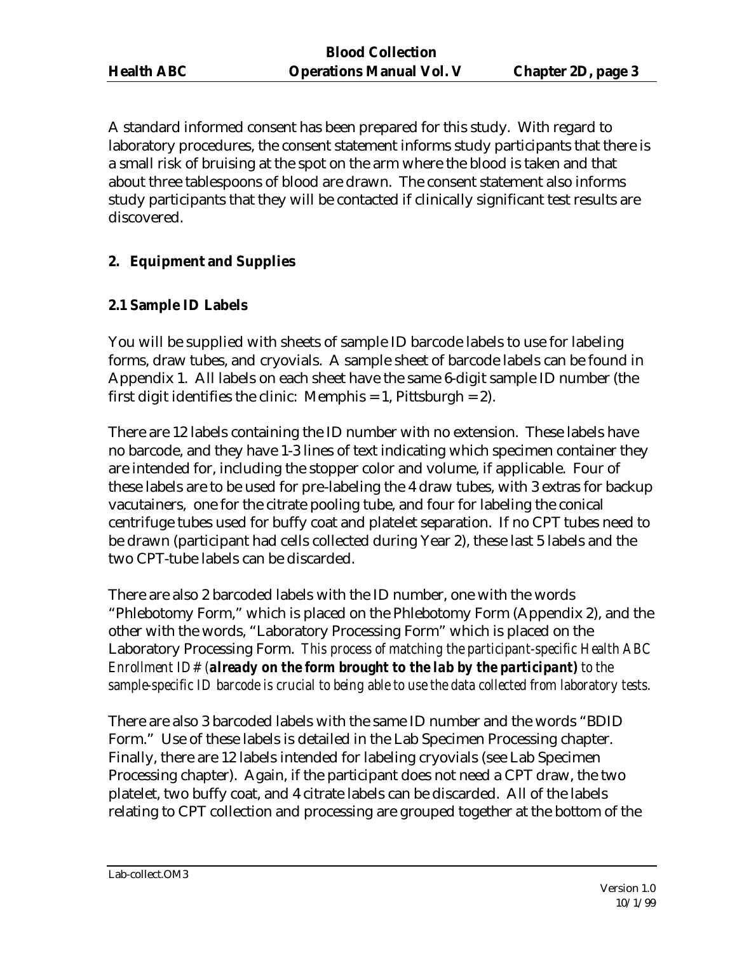A standard informed consent has been prepared for this study. With regard to laboratory procedures, the consent statement informs study participants that there is a small risk of bruising at the spot on the arm where the blood is taken and that about three tablespoons of blood are drawn. The consent statement also informs study participants that they will be contacted if clinically significant test results are discovered.

## **2. Equipment and Supplies**

## **2.1 Sample ID Labels**

You will be supplied with sheets of sample ID barcode labels to use for labeling forms, draw tubes, and cryovials. A sample sheet of barcode labels can be found in Appendix 1. All labels on each sheet have the same 6-digit sample ID number (the first digit identifies the clinic: Memphis  $= 1$ , Pittsburgh  $= 2$ ).

There are 12 labels containing the ID number with no extension. These labels have no barcode, and they have 1-3 lines of text indicating which specimen container they are intended for, including the stopper color and volume, if applicable. Four of these labels are to be used for pre-labeling the 4 draw tubes, with 3 extras for backup vacutainers, one for the citrate pooling tube, and four for labeling the conical centrifuge tubes used for buffy coat and platelet separation. If no CPT tubes need to be drawn (participant had cells collected during Year 2), these last 5 labels and the two CPT-tube labels can be discarded.

There are also 2 barcoded labels with the ID number, one with the words "Phlebotomy Form," which is placed on the Phlebotomy Form (Appendix 2), and the other with the words, "Laboratory Processing Form" which is placed on the Laboratory Processing Form. *This process of matching the participant-specific Health ABC Enrollment ID# (already on the form brought to the lab by the participant) to the sample-specific ID barcode is crucial to being able to use the data collected from laboratory tests.*

There are also 3 barcoded labels with the same ID number and the words "BDID Form." Use of these labels is detailed in the Lab Specimen Processing chapter. Finally, there are 12 labels intended for labeling cryovials (see Lab Specimen Processing chapter). Again, if the participant does not need a CPT draw, the two platelet, two buffy coat, and 4 citrate labels can be discarded. All of the labels relating to CPT collection and processing are grouped together at the bottom of the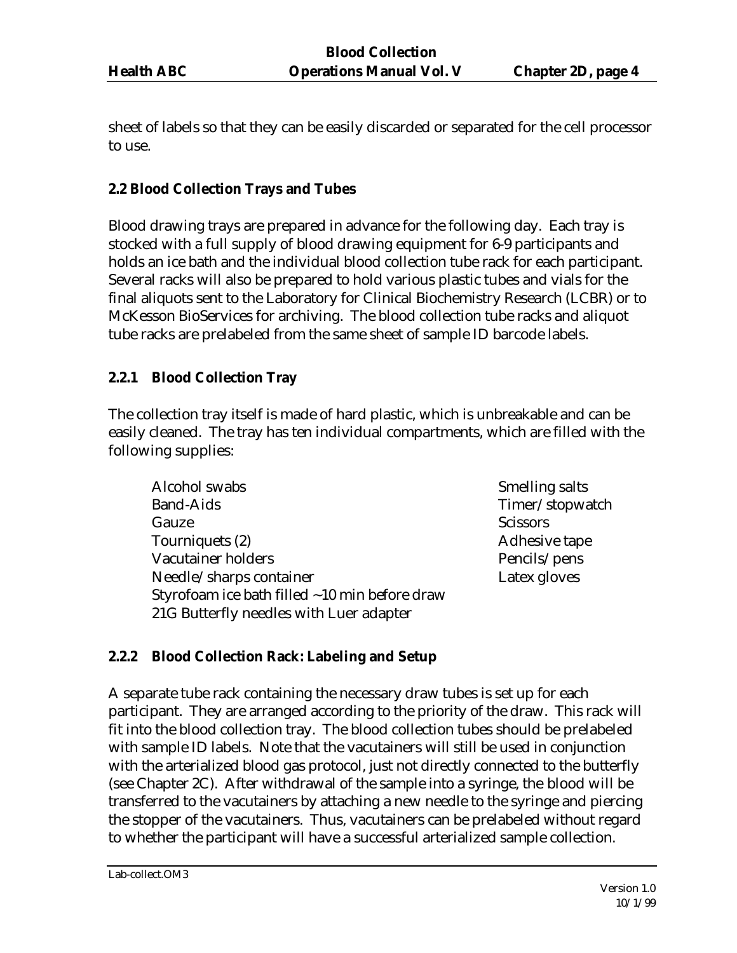sheet of labels so that they can be easily discarded or separated for the cell processor to use.

#### **2.2 Blood Collection Trays and Tubes**

Blood drawing trays are prepared in advance for the following day. Each tray is stocked with a full supply of blood drawing equipment for 6-9 participants and holds an ice bath and the individual blood collection tube rack for each participant. Several racks will also be prepared to hold various plastic tubes and vials for the final aliquots sent to the Laboratory for Clinical Biochemistry Research (LCBR) or to McKesson BioServices for archiving. The blood collection tube racks and aliquot tube racks are prelabeled from the same sheet of sample ID barcode labels.

## **2.2.1 Blood Collection Tray**

The collection tray itself is made of hard plastic, which is unbreakable and can be easily cleaned. The tray has ten individual compartments, which are filled with the following supplies:

- Alcohol swabs Smelling salts Band-Aids Timer/stopwatch Gauze Scissors Tourniquets (2) and the set of the Adhesive tape Adhesive tape Vacutainer holders **Pencils**/pens Needle/sharps container Latex gloves Styrofoam ice bath filled ~10 min before draw 21G Butterfly needles with Luer adapter
- 

## **2.2.2 Blood Collection Rack: Labeling and Setup**

A separate tube rack containing the necessary draw tubes is set up for each participant. They are arranged according to the priority of the draw. This rack will fit into the blood collection tray. The blood collection tubes should be prelabeled with sample ID labels. Note that the vacutainers will still be used in conjunction with the arterialized blood gas protocol, just not directly connected to the butterfly (see Chapter 2C). After withdrawal of the sample into a syringe, the blood will be transferred to the vacutainers by attaching a new needle to the syringe and piercing the stopper of the vacutainers. Thus, vacutainers can be prelabeled without regard to whether the participant will have a successful arterialized sample collection.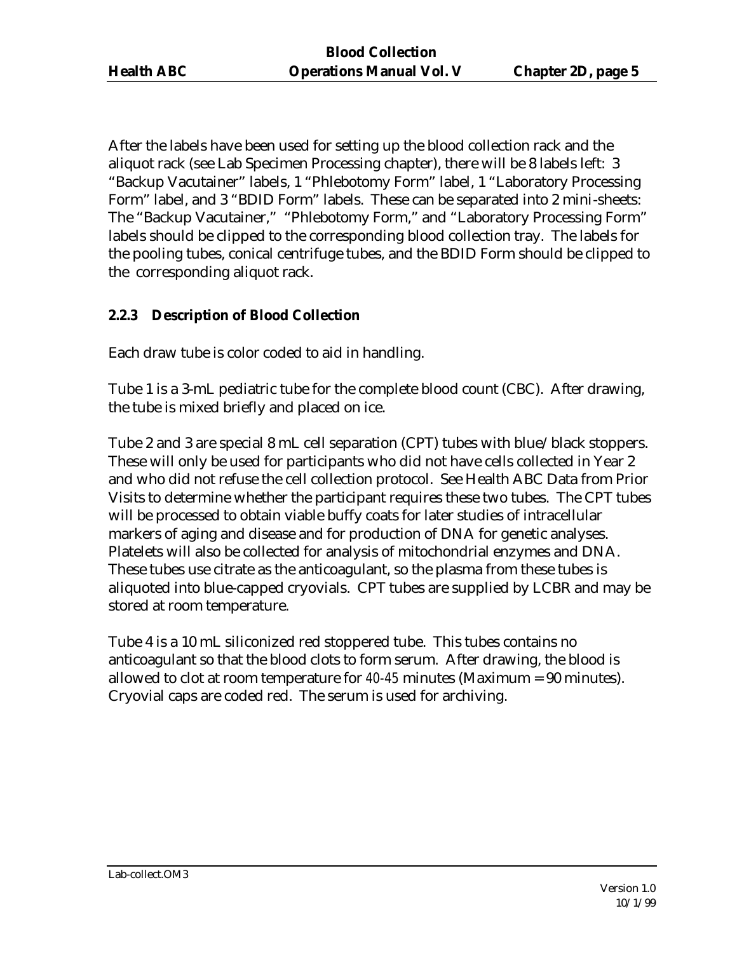After the labels have been used for setting up the blood collection rack and the aliquot rack (see Lab Specimen Processing chapter), there will be 8 labels left: 3 "Backup Vacutainer" labels, 1 "Phlebotomy Form" label, 1 "Laboratory Processing Form" label, and 3 "BDID Form" labels. These can be separated into 2 mini-sheets: The "Backup Vacutainer," "Phlebotomy Form," and "Laboratory Processing Form" labels should be clipped to the corresponding blood collection tray. The labels for the pooling tubes, conical centrifuge tubes, and the BDID Form should be clipped to the corresponding aliquot rack.

## **2.2.3 Description of Blood Collection**

Each draw tube is color coded to aid in handling.

Tube 1 is a 3-mL pediatric tube for the complete blood count (CBC). After drawing, the tube is mixed briefly and placed on ice.

Tube 2 and 3 are special 8 mL cell separation (CPT) tubes with blue/black stoppers. These will only be used for participants who did not have cells collected in Year 2 and who did not refuse the cell collection protocol. See Health ABC Data from Prior Visits to determine whether the participant requires these two tubes. The CPT tubes will be processed to obtain viable buffy coats for later studies of intracellular markers of aging and disease and for production of DNA for genetic analyses. Platelets will also be collected for analysis of mitochondrial enzymes and DNA. These tubes use citrate as the anticoagulant, so the plasma from these tubes is aliquoted into blue-capped cryovials. CPT tubes are supplied by LCBR and may be stored at room temperature.

Tube 4 is a 10 mL siliconized red stoppered tube. This tubes contains no anticoagulant so that the blood clots to form serum. After drawing, the blood is allowed to clot at room temperature for *40-45* minutes (Maximum = 90 minutes). Cryovial caps are coded red. The serum is used for archiving.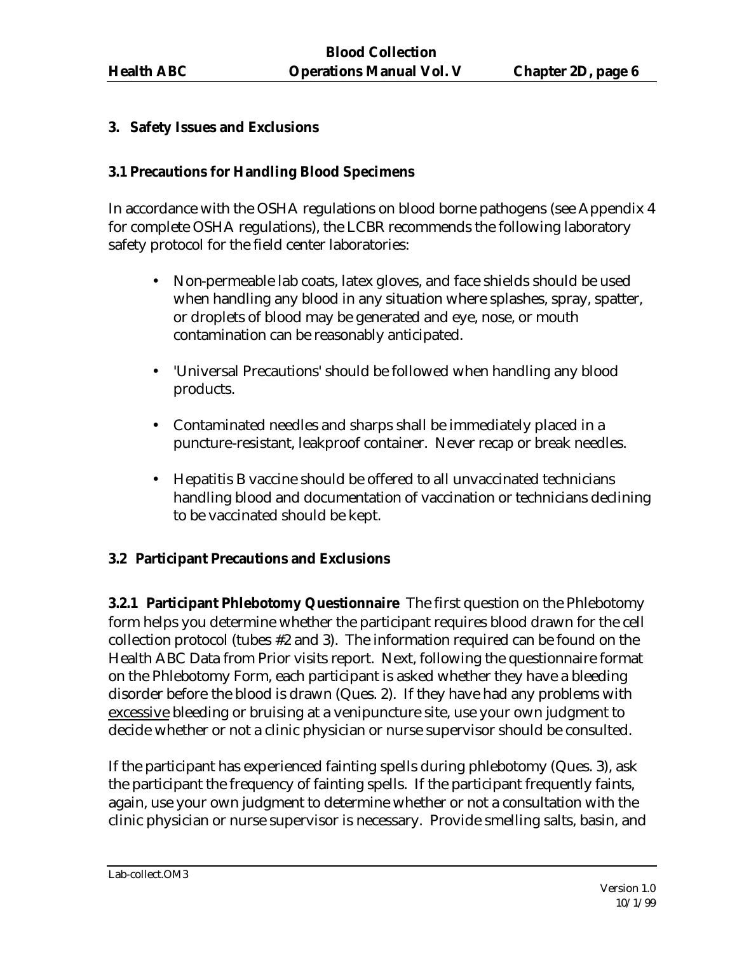## **3. Safety Issues and Exclusions**

#### **3.1 Precautions for Handling Blood Specimens**

In accordance with the OSHA regulations on blood borne pathogens (see Appendix 4 for complete OSHA regulations), the LCBR recommends the following laboratory safety protocol for the field center laboratories:

- Non-permeable lab coats, latex gloves, and face shields should be used when handling any blood in any situation where splashes, spray, spatter, or droplets of blood may be generated and eye, nose, or mouth contamination can be reasonably anticipated.
- 'Universal Precautions' should be followed when handling any blood products.
- Contaminated needles and sharps shall be immediately placed in a puncture-resistant, leakproof container. Never recap or break needles.
- Hepatitis B vaccine should be offered to all unvaccinated technicians handling blood and documentation of vaccination or technicians declining to be vaccinated should be kept.

## **3.2 Participant Precautions and Exclusions**

**3.2.1 Participant Phlebotomy Questionnaire** The first question on the Phlebotomy form helps you determine whether the participant requires blood drawn for the cell collection protocol (tubes #2 and 3). The information required can be found on the Health ABC Data from Prior visits report. Next, following the questionnaire format on the Phlebotomy Form, each participant is asked whether they have a bleeding disorder before the blood is drawn (Ques. 2). If they have had any problems with excessive bleeding or bruising at a venipuncture site, use your own judgment to decide whether or not a clinic physician or nurse supervisor should be consulted.

If the participant has experienced fainting spells during phlebotomy (Ques. 3), ask the participant the frequency of fainting spells. If the participant frequently faints, again, use your own judgment to determine whether or not a consultation with the clinic physician or nurse supervisor is necessary. Provide smelling salts, basin, and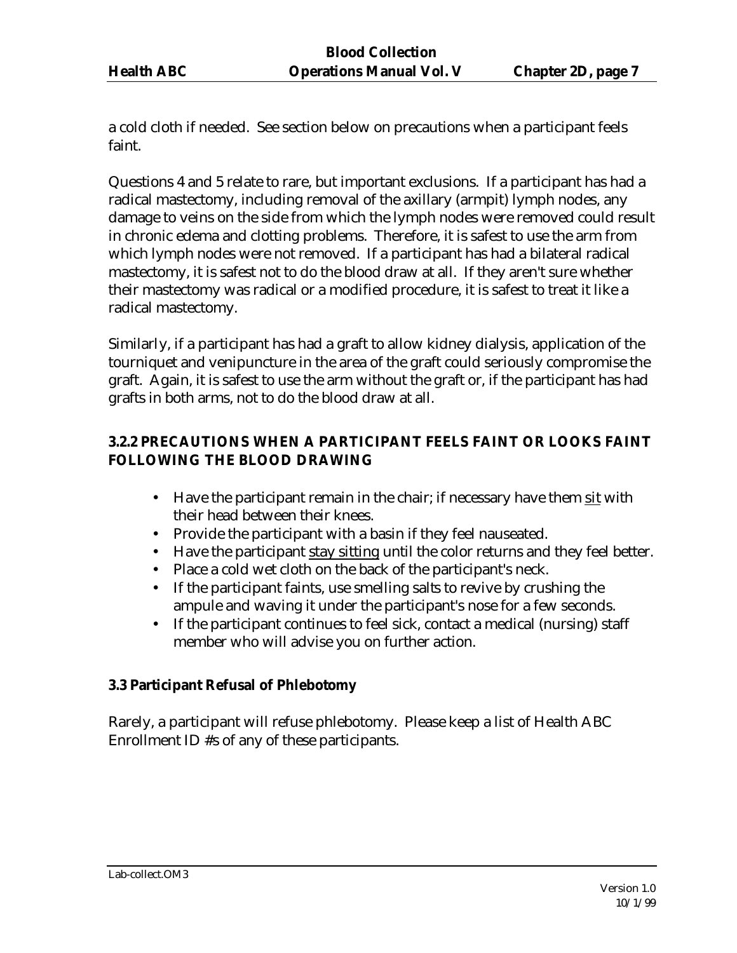a cold cloth if needed. See section below on precautions when a participant feels faint.

Questions 4 and 5 relate to rare, but important exclusions. If a participant has had a radical mastectomy, including removal of the axillary (armpit) lymph nodes, any damage to veins on the side from which the lymph nodes were removed could result in chronic edema and clotting problems. Therefore, it is safest to use the arm from which lymph nodes were not removed. If a participant has had a bilateral radical mastectomy, it is safest not to do the blood draw at all. If they aren't sure whether their mastectomy was radical or a modified procedure, it is safest to treat it like a radical mastectomy.

Similarly, if a participant has had a graft to allow kidney dialysis, application of the tourniquet and venipuncture in the area of the graft could seriously compromise the graft. Again, it is safest to use the arm without the graft or, if the participant has had grafts in both arms, not to do the blood draw at all.

## **3.2.2 PRECAUTIONS WHEN A PARTICIPANT FEELS FAINT OR LOOKS FAINT FOLLOWING THE BLOOD DRAWING**

- Have the participant remain in the chair; if necessary have them sit with their head between their knees.
- Provide the participant with a basin if they feel nauseated.
- Have the participant stay sitting until the color returns and they feel better.
- Place a cold wet cloth on the back of the participant's neck.
- If the participant faints, use smelling salts to revive by crushing the ampule and waving it under the participant's nose for a few seconds.
- If the participant continues to feel sick, contact a medical (nursing) staff member who will advise you on further action.

#### **3.3 Participant Refusal of Phlebotomy**

Rarely, a participant will refuse phlebotomy. Please keep a list of Health ABC Enrollment ID #s of any of these participants.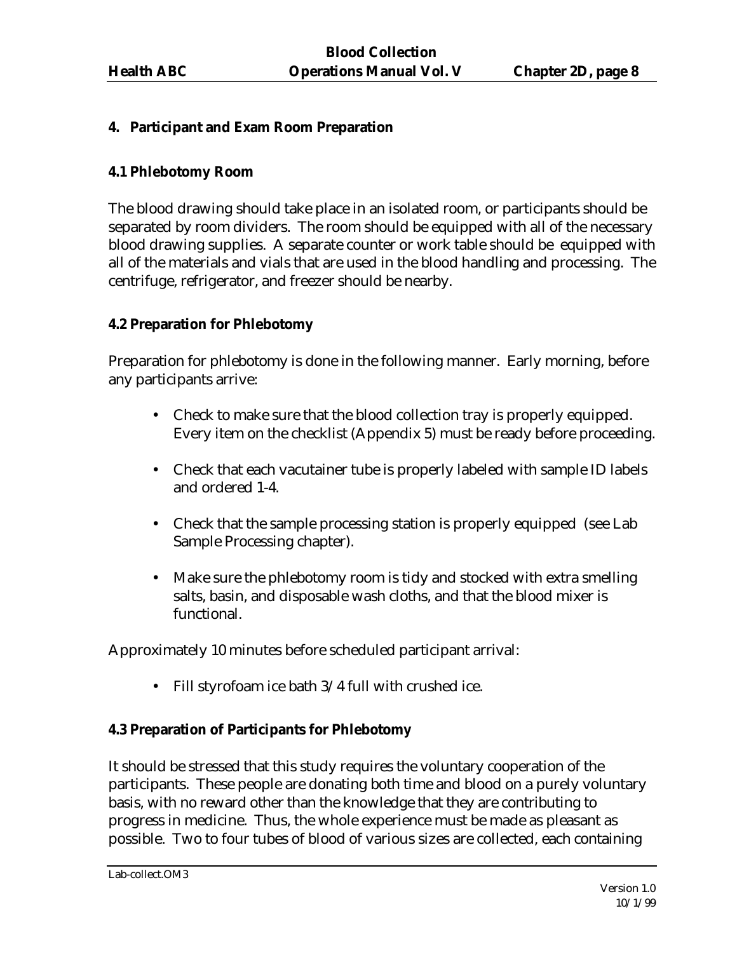## **4. Participant and Exam Room Preparation**

#### **4.1 Phlebotomy Room**

The blood drawing should take place in an isolated room, or participants should be separated by room dividers. The room should be equipped with all of the necessary blood drawing supplies. A separate counter or work table should be equipped with all of the materials and vials that are used in the blood handling and processing. The centrifuge, refrigerator, and freezer should be nearby.

#### **4.2 Preparation for Phlebotomy**

Preparation for phlebotomy is done in the following manner. Early morning, before any participants arrive:

- Check to make sure that the blood collection tray is properly equipped. Every item on the checklist (Appendix 5) must be ready before proceeding.
- Check that each vacutainer tube is properly labeled with sample ID labels and ordered 1-4.
- Check that the sample processing station is properly equipped (see Lab Sample Processing chapter).
- Make sure the phlebotomy room is tidy and stocked with extra smelling salts, basin, and disposable wash cloths, and that the blood mixer is functional.

Approximately 10 minutes before scheduled participant arrival:

• Fill styrofoam ice bath 3/4 full with crushed ice.

## **4.3 Preparation of Participants for Phlebotomy**

It should be stressed that this study requires the voluntary cooperation of the participants. These people are donating both time and blood on a purely voluntary basis, with no reward other than the knowledge that they are contributing to progress in medicine. Thus, the whole experience must be made as pleasant as possible. Two to four tubes of blood of various sizes are collected, each containing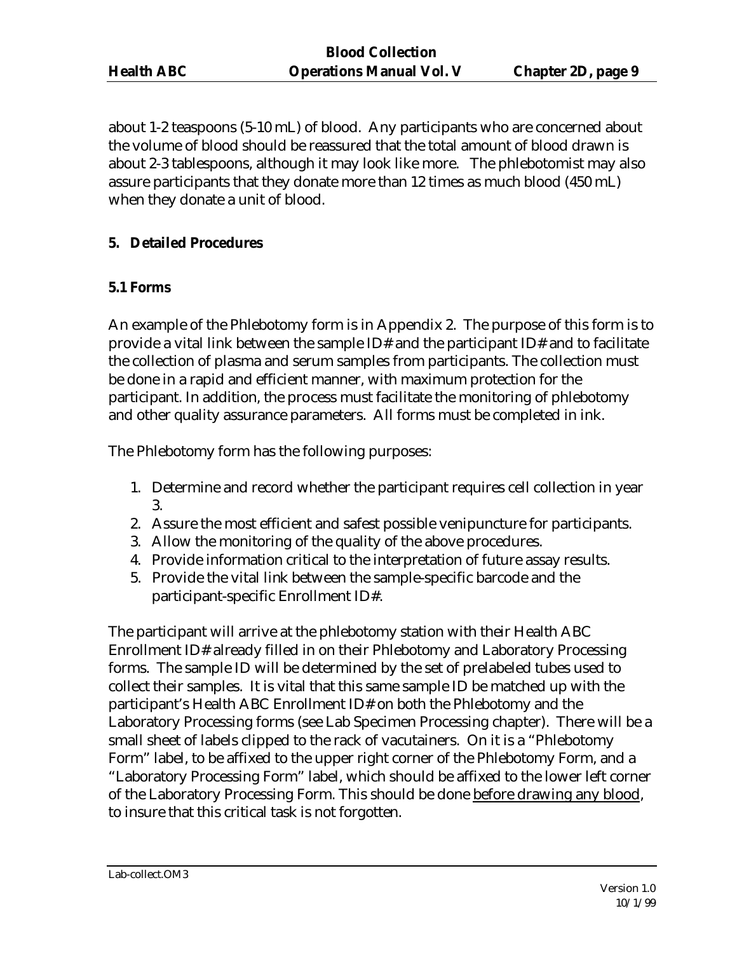about 1-2 teaspoons (5-10 mL) of blood. Any participants who are concerned about the volume of blood should be reassured that the total amount of blood drawn is about 2-3 tablespoons, although it may look like more. The phlebotomist may also assure participants that they donate more than 12 times as much blood (450 mL) when they donate a unit of blood.

## **5. Detailed Procedures**

#### **5.1 Forms**

An example of the Phlebotomy form is in Appendix 2. The purpose of this form is to provide a vital link between the sample ID# and the participant ID# and to facilitate the collection of plasma and serum samples from participants. The collection must be done in a rapid and efficient manner, with maximum protection for the participant. In addition, the process must facilitate the monitoring of phlebotomy and other quality assurance parameters. All forms must be completed in ink.

The Phlebotomy form has the following purposes:

- 1. Determine and record whether the participant requires cell collection in year 3.
- 2. Assure the most efficient and safest possible venipuncture for participants.
- 3. Allow the monitoring of the quality of the above procedures.
- 4. Provide information critical to the interpretation of future assay results.
- 5. Provide the vital link between the sample-specific barcode and the participant-specific Enrollment ID#.

The participant will arrive at the phlebotomy station with their Health ABC Enrollment ID# already filled in on their Phlebotomy and Laboratory Processing forms. The sample ID will be determined by the set of prelabeled tubes used to collect their samples. It is vital that this same sample ID be matched up with the participant's Health ABC Enrollment ID# on both the Phlebotomy and the Laboratory Processing forms (see Lab Specimen Processing chapter). There will be a small sheet of labels clipped to the rack of vacutainers. On it is a "Phlebotomy Form" label, to be affixed to the upper right corner of the Phlebotomy Form, and a "Laboratory Processing Form" label, which should be affixed to the lower left corner of the Laboratory Processing Form. This should be done before drawing any blood, to insure that this critical task is not forgotten.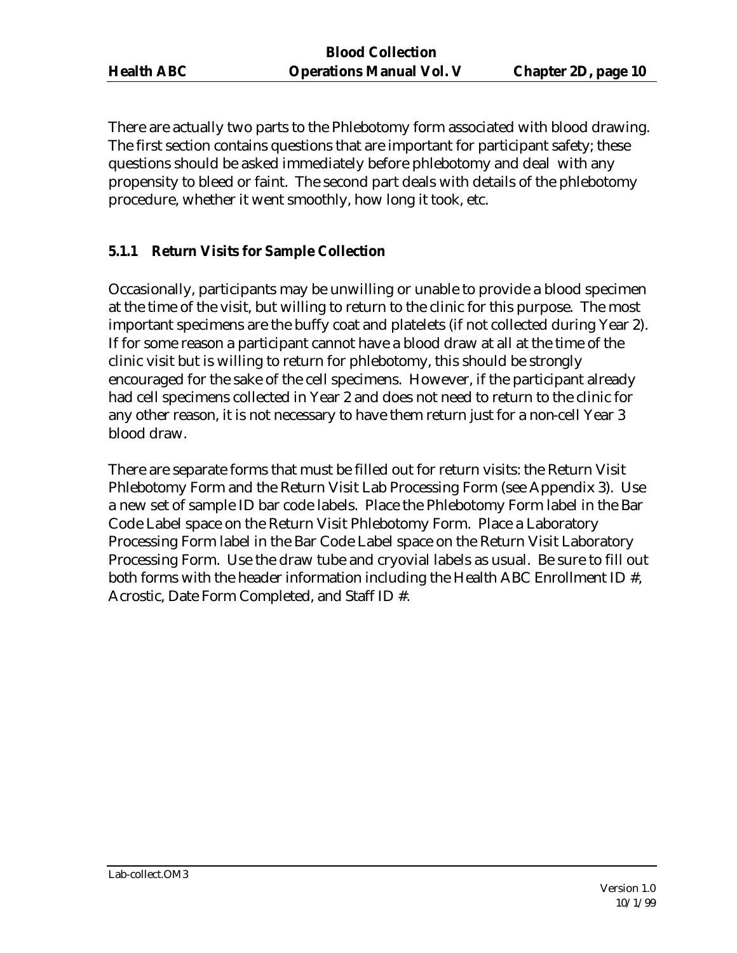There are actually two parts to the Phlebotomy form associated with blood drawing. The first section contains questions that are important for participant safety; these questions should be asked immediately before phlebotomy and deal with any propensity to bleed or faint. The second part deals with details of the phlebotomy procedure, whether it went smoothly, how long it took, etc.

## **5.1.1 Return Visits for Sample Collection**

Occasionally, participants may be unwilling or unable to provide a blood specimen at the time of the visit, but willing to return to the clinic for this purpose. The most important specimens are the buffy coat and platelets (if not collected during Year 2). If for some reason a participant cannot have a blood draw at all at the time of the clinic visit but is willing to return for phlebotomy, this should be strongly encouraged for the sake of the cell specimens. However, if the participant already had cell specimens collected in Year 2 and does not need to return to the clinic for any other reason, it is not necessary to have them return just for a non-cell Year 3 blood draw.

There are separate forms that must be filled out for return visits: the Return Visit Phlebotomy Form and the Return Visit Lab Processing Form (see Appendix 3). Use a new set of sample ID bar code labels. Place the Phlebotomy Form label in the Bar Code Label space on the Return Visit Phlebotomy Form. Place a Laboratory Processing Form label in the Bar Code Label space on the Return Visit Laboratory Processing Form. Use the draw tube and cryovial labels as usual. Be sure to fill out both forms with the header information including the Health ABC Enrollment ID #, Acrostic, Date Form Completed, and Staff ID #.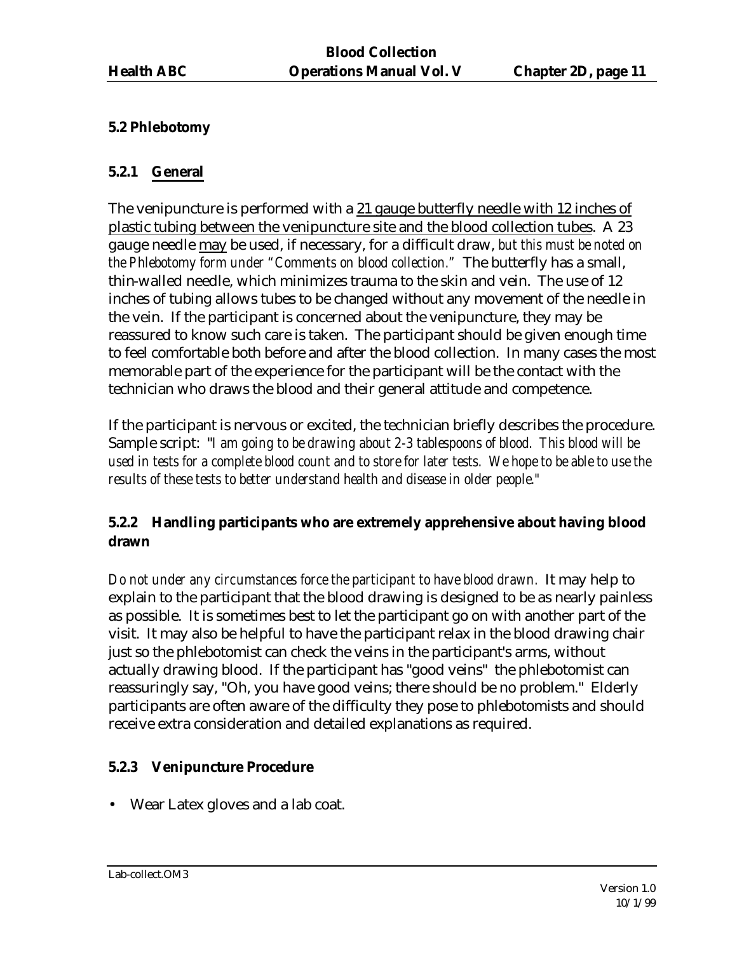#### **5.2 Phlebotomy**

#### **5.2.1 General**

The venipuncture is performed with a 21 gauge butterfly needle with 12 inches of plastic tubing between the venipuncture site and the blood collection tubes. A 23 gauge needle may be used, if necessary, for a difficult draw, *but this must be noted on the Phlebotomy form under "Comments on blood collection."* The butterfly has a small, thin-walled needle, which minimizes trauma to the skin and vein. The use of 12 inches of tubing allows tubes to be changed without any movement of the needle in the vein. If the participant is concerned about the venipuncture, they may be reassured to know such care is taken. The participant should be given enough time to feel comfortable both before and after the blood collection. In many cases the most memorable part of the experience for the participant will be the contact with the technician who draws the blood and their general attitude and competence.

If the participant is nervous or excited, the technician briefly describes the procedure. Sample script: "*I am going to be drawing about 2-3 tablespoons of blood. This blood will be used in tests for a complete blood count and to store for later tests. We hope to be able to use the results of these tests to better understand health and disease in older people."*

## **5.2.2 Handling participants who are extremely apprehensive about having blood drawn**

*Do not under any circumstances force the participant to have blood drawn.* It may help to explain to the participant that the blood drawing is designed to be as nearly painless as possible. It is sometimes best to let the participant go on with another part of the visit. It may also be helpful to have the participant relax in the blood drawing chair just so the phlebotomist can check the veins in the participant's arms, without actually drawing blood. If the participant has "good veins" the phlebotomist can reassuringly say, "Oh, you have good veins; there should be no problem." Elderly participants are often aware of the difficulty they pose to phlebotomists and should receive extra consideration and detailed explanations as required.

## **5.2.3 Venipuncture Procedure**

• Wear Latex gloves and a lab coat.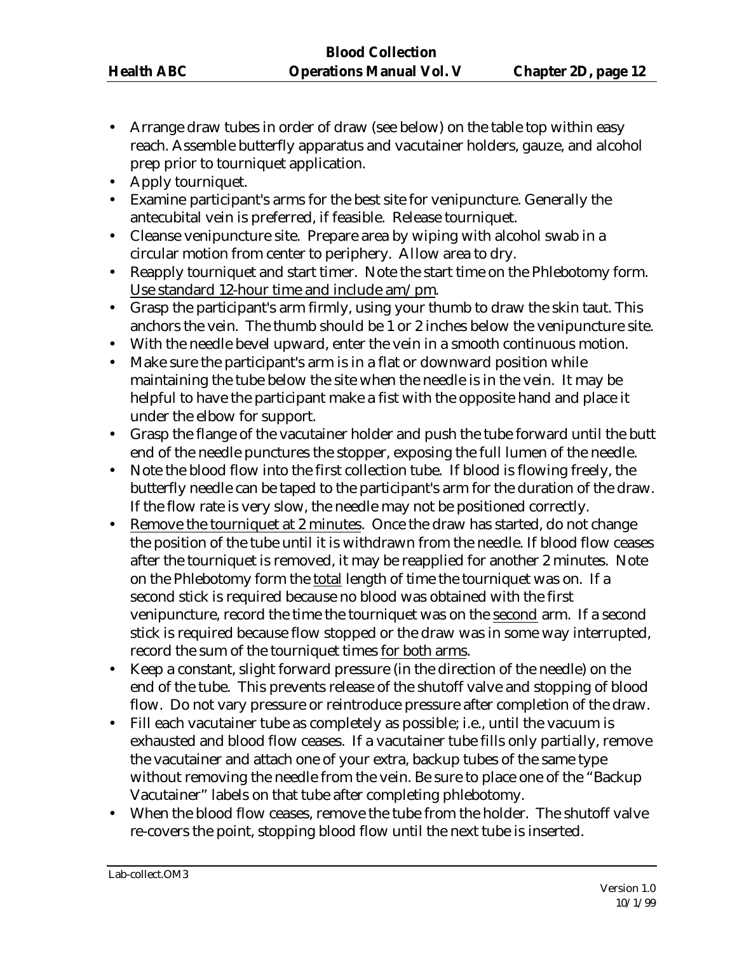- Arrange draw tubes in order of draw (see below) on the table top within easy reach. Assemble butterfly apparatus and vacutainer holders, gauze, and alcohol prep prior to tourniquet application.
- Apply tourniquet.
- Examine participant's arms for the best site for venipuncture. Generally the antecubital vein is preferred, if feasible. Release tourniquet.
- Cleanse venipuncture site. Prepare area by wiping with alcohol swab in a circular motion from center to periphery. Allow area to dry.
- Reapply tourniquet and start timer. Note the start time on the Phlebotomy form. Use standard 12-hour time and include am/pm.
- Grasp the participant's arm firmly, using your thumb to draw the skin taut. This anchors the vein. The thumb should be 1 or 2 inches below the venipuncture site.
- With the needle bevel upward, enter the vein in a smooth continuous motion.
- Make sure the participant's arm is in a flat or downward position while maintaining the tube below the site when the needle is in the vein. It may be helpful to have the participant make a fist with the opposite hand and place it under the elbow for support.
- Grasp the flange of the vacutainer holder and push the tube forward until the butt end of the needle punctures the stopper, exposing the full lumen of the needle.
- Note the blood flow into the first collection tube. If blood is flowing freely, the butterfly needle can be taped to the participant's arm for the duration of the draw. If the flow rate is very slow, the needle may not be positioned correctly.
- Remove the tourniquet at 2 minutes. Once the draw has started, do not change the position of the tube until it is withdrawn from the needle. If blood flow ceases after the tourniquet is removed, it may be reapplied for another 2 minutes. Note on the Phlebotomy form the total length of time the tourniquet was on. If a second stick is required because no blood was obtained with the first venipuncture, record the time the tourniquet was on the second arm. If a second stick is required because flow stopped or the draw was in some way interrupted, record the sum of the tourniquet times for both arms.
- Keep a constant, slight forward pressure (in the direction of the needle) on the end of the tube. This prevents release of the shutoff valve and stopping of blood flow. Do not vary pressure or reintroduce pressure after completion of the draw.
- Fill each vacutainer tube as completely as possible; i.e., until the vacuum is exhausted and blood flow ceases. If a vacutainer tube fills only partially, remove the vacutainer and attach one of your extra, backup tubes of the same type without removing the needle from the vein. Be sure to place one of the "Backup Vacutainer" labels on that tube after completing phlebotomy.
- When the blood flow ceases, remove the tube from the holder. The shutoff valve re-covers the point, stopping blood flow until the next tube is inserted.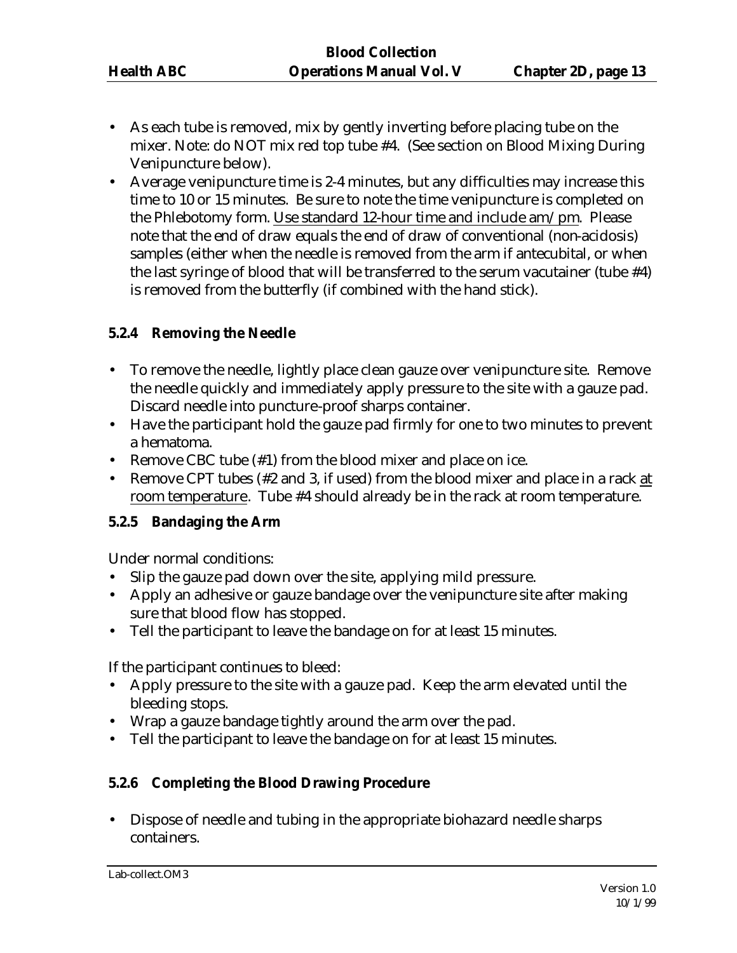- As each tube is removed, mix by gently inverting before placing tube on the mixer. Note: do NOT mix red top tube #4. (See section on Blood Mixing During Venipuncture below).
- Average venipuncture time is 2-4 minutes, but any difficulties may increase this time to 10 or 15 minutes. Be sure to note the time venipuncture is completed on the Phlebotomy form. Use standard 12-hour time and include am/pm. Please note that the end of draw equals the end of draw of conventional (non-acidosis) samples (either when the needle is removed from the arm if antecubital, or when the last syringe of blood that will be transferred to the serum vacutainer (tube #4) is removed from the butterfly (if combined with the hand stick).

#### **5.2.4 Removing the Needle**

- To remove the needle, lightly place clean gauze over venipuncture site. Remove the needle quickly and immediately apply pressure to the site with a gauze pad. Discard needle into puncture-proof sharps container.
- Have the participant hold the gauze pad firmly for one to two minutes to prevent a hematoma.
- Remove CBC tube (#1) from the blood mixer and place on ice.
- Remove CPT tubes (#2 and 3, if used) from the blood mixer and place in a rack at room temperature. Tube #4 should already be in the rack at room temperature.

#### **5.2.5 Bandaging the Arm**

Under normal conditions:

- Slip the gauze pad down over the site, applying mild pressure.
- Apply an adhesive or gauze bandage over the venipuncture site after making sure that blood flow has stopped.
- Tell the participant to leave the bandage on for at least 15 minutes.

If the participant continues to bleed:

- Apply pressure to the site with a gauze pad. Keep the arm elevated until the bleeding stops.
- Wrap a gauze bandage tightly around the arm over the pad.
- Tell the participant to leave the bandage on for at least 15 minutes.

## **5.2.6 Completing the Blood Drawing Procedure**

• Dispose of needle and tubing in the appropriate biohazard needle sharps containers.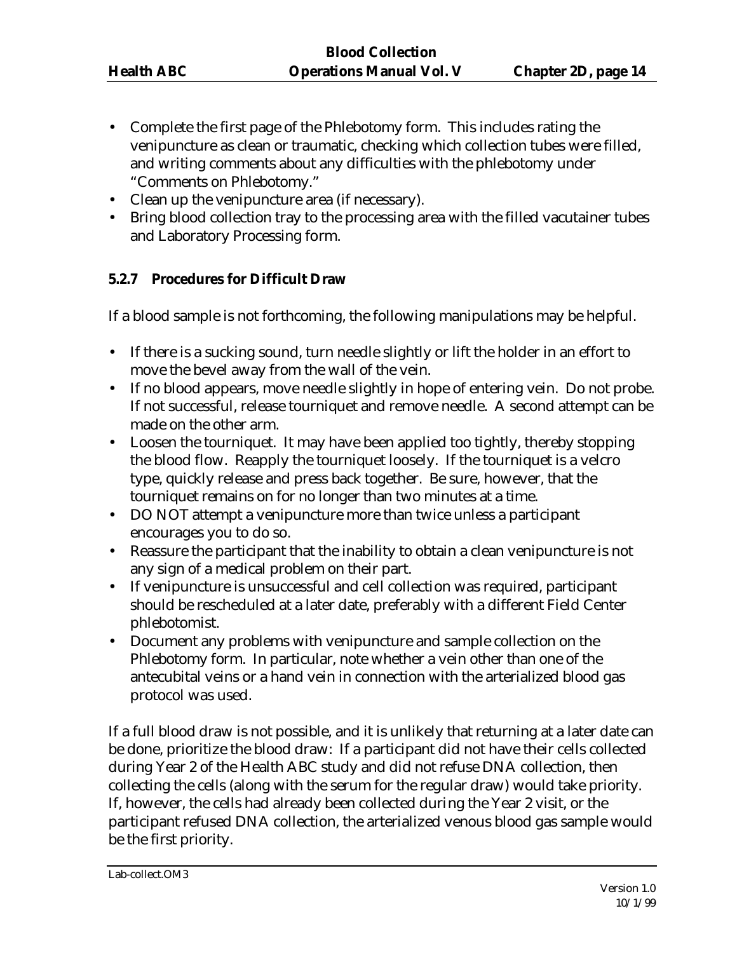- Complete the first page of the Phlebotomy form. This includes rating the venipuncture as clean or traumatic, checking which collection tubes were filled, and writing comments about any difficulties with the phlebotomy under "Comments on Phlebotomy."
- Clean up the venipuncture area (if necessary).
- Bring blood collection tray to the processing area with the filled vacutainer tubes and Laboratory Processing form.

## **5.2.7 Procedures for Difficult Draw**

If a blood sample is not forthcoming, the following manipulations may be helpful.

- If there is a sucking sound, turn needle slightly or lift the holder in an effort to move the bevel away from the wall of the vein.
- If no blood appears, move needle slightly in hope of entering vein. Do not probe. If not successful, release tourniquet and remove needle. A second attempt can be made on the other arm.
- Loosen the tourniquet. It may have been applied too tightly, thereby stopping the blood flow. Reapply the tourniquet loosely. If the tourniquet is a velcro type, quickly release and press back together. Be sure, however, that the tourniquet remains on for no longer than two minutes at a time.
- DO NOT attempt a venipuncture more than twice unless a participant encourages you to do so.
- Reassure the participant that the inability to obtain a clean venipuncture is not any sign of a medical problem on their part.
- If venipuncture is unsuccessful and cell collection was required, participant should be rescheduled at a later date, preferably with a different Field Center phlebotomist.
- Document any problems with venipuncture and sample collection on the Phlebotomy form. In particular, note whether a vein other than one of the antecubital veins or a hand vein in connection with the arterialized blood gas protocol was used.

If a full blood draw is not possible, and it is unlikely that returning at a later date can be done, prioritize the blood draw: If a participant did not have their cells collected during Year 2 of the Health ABC study and did not refuse DNA collection, then collecting the cells (along with the serum for the regular draw) would take priority. If, however, the cells had already been collected during the Year 2 visit, or the participant refused DNA collection, the arterialized venous blood gas sample would be the first priority.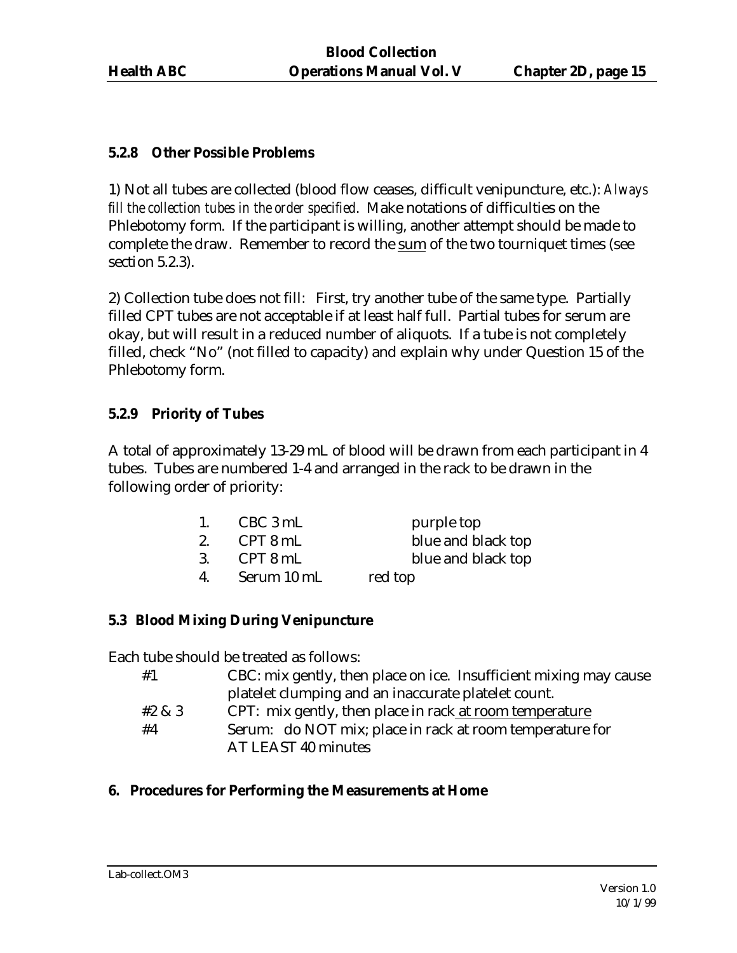#### **5.2.8 Other Possible Problems**

1) Not all tubes are collected (blood flow ceases, difficult venipuncture, etc.): *Always fill the collection tubes in the order specified*. Make notations of difficulties on the Phlebotomy form. If the participant is willing, another attempt should be made to complete the draw. Remember to record the sum of the two tourniquet times (see section 5.2.3).

2) Collection tube does not fill: First, try another tube of the same type. Partially filled CPT tubes are not acceptable if at least half full. Partial tubes for serum are okay, but will result in a reduced number of aliquots. If a tube is not completely filled, check "No" (not filled to capacity) and explain why under Question 15 of the Phlebotomy form.

#### **5.2.9 Priority of Tubes**

A total of approximately 13-29 mL of blood will be drawn from each participant in 4 tubes. Tubes are numbered 1-4 and arranged in the rack to be drawn in the following order of priority:

|                | 1. $CBC3mL$ | purple top         |
|----------------|-------------|--------------------|
| 2 <sup>2</sup> | CPT 8 mL    | blue and black top |
| 3              | CPT 8 mL    | blue and black top |
|                | Serum 10 mL | red top            |

#### **5.3 Blood Mixing During Venipuncture**

Each tube should be treated as follows:

| #1     | CBC: mix gently, then place on ice. Insufficient mixing may cause |
|--------|-------------------------------------------------------------------|
|        | platelet clumping and an inaccurate platelet count.               |
| #2 & 3 | CPT: mix gently, then place in rack at room temperature           |
| #4     | Serum: do NOT mix; place in rack at room temperature for          |
|        | AT LEAST 40 minutes                                               |

#### **6. Procedures for Performing the Measurements at Home**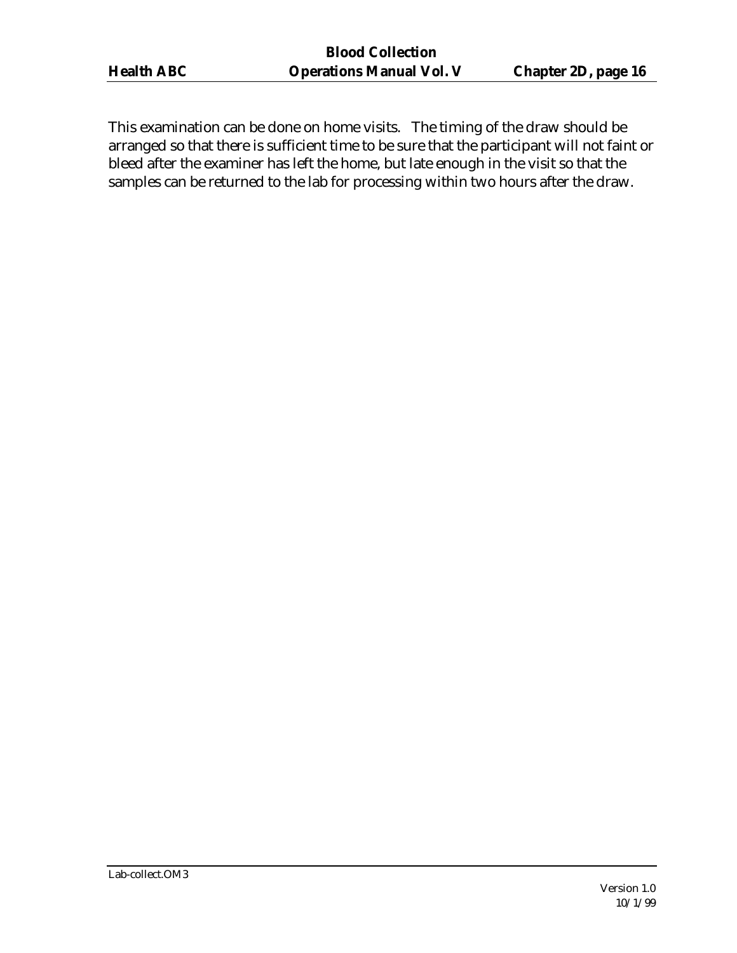This examination can be done on home visits. The timing of the draw should be arranged so that there is sufficient time to be sure that the participant will not faint or bleed after the examiner has left the home, but late enough in the visit so that the samples can be returned to the lab for processing within two hours after the draw.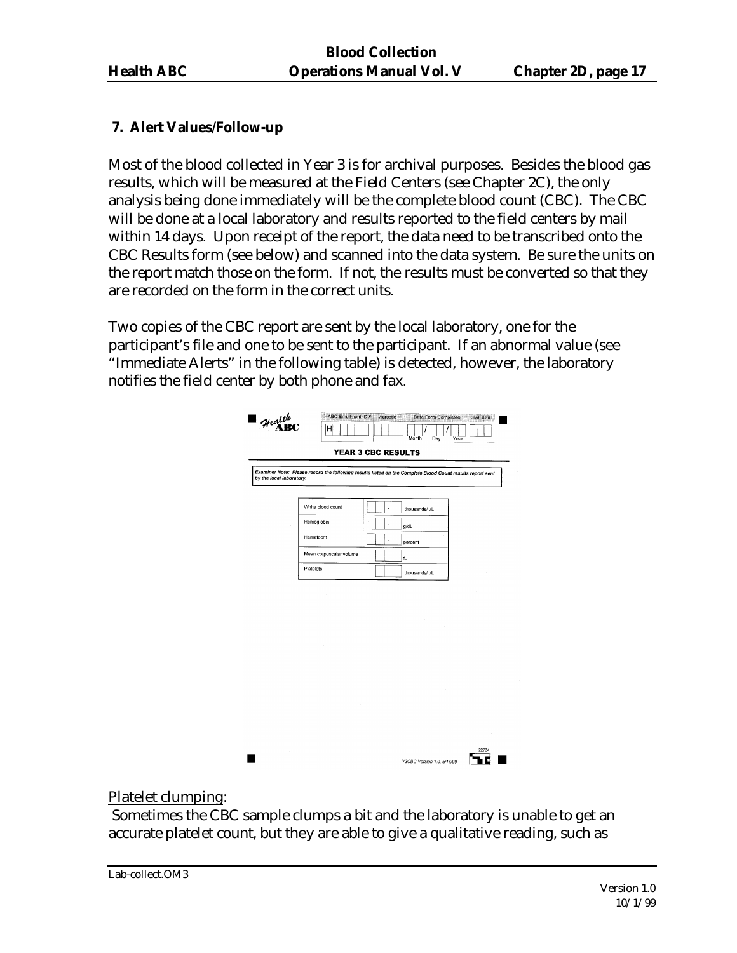## **7. Alert Values/Follow-up**

Most of the blood collected in Year 3 is for archival purposes. Besides the blood gas results, which will be measured at the Field Centers (see Chapter 2C), the only analysis being done immediately will be the complete blood count (CBC). The CBC will be done at a local laboratory and results reported to the field centers by mail within 14 days. Upon receipt of the report, the data need to be transcribed onto the CBC Results form (see below) and scanned into the data system. Be sure the units on the report match those on the form. If not, the results must be converted so that they are recorded on the form in the correct units.

Two copies of the CBC report are sent by the local laboratory, one for the participant's file and one to be sent to the participant. If an abnormal value (see "Immediate Alerts" in the following table) is detected, however, the laboratory notifies the field center by both phone and fax.

|                          |                         | <b>YEAR 3 CBC RESULTS</b>                                                                                 |  |
|--------------------------|-------------------------|-----------------------------------------------------------------------------------------------------------|--|
| by the local laboratory. |                         | Examiner Note: Please record the following results listed on the Complete Blood Count results report sent |  |
|                          | White blood count       | thousands/ µL<br>٠                                                                                        |  |
|                          | Hemoglobin              | í,<br>g/dL                                                                                                |  |
|                          | Hematocrit              | ٠<br>percent                                                                                              |  |
|                          | Mean corpuscular volume | fL                                                                                                        |  |
|                          | Platelets               | thousands/ µL                                                                                             |  |
|                          |                         |                                                                                                           |  |
|                          |                         |                                                                                                           |  |
|                          |                         |                                                                                                           |  |
|                          |                         |                                                                                                           |  |
|                          |                         |                                                                                                           |  |



Platelet clumping:

 Sometimes the CBC sample clumps a bit and the laboratory is unable to get an accurate platelet count, but they are able to give a qualitative reading, such as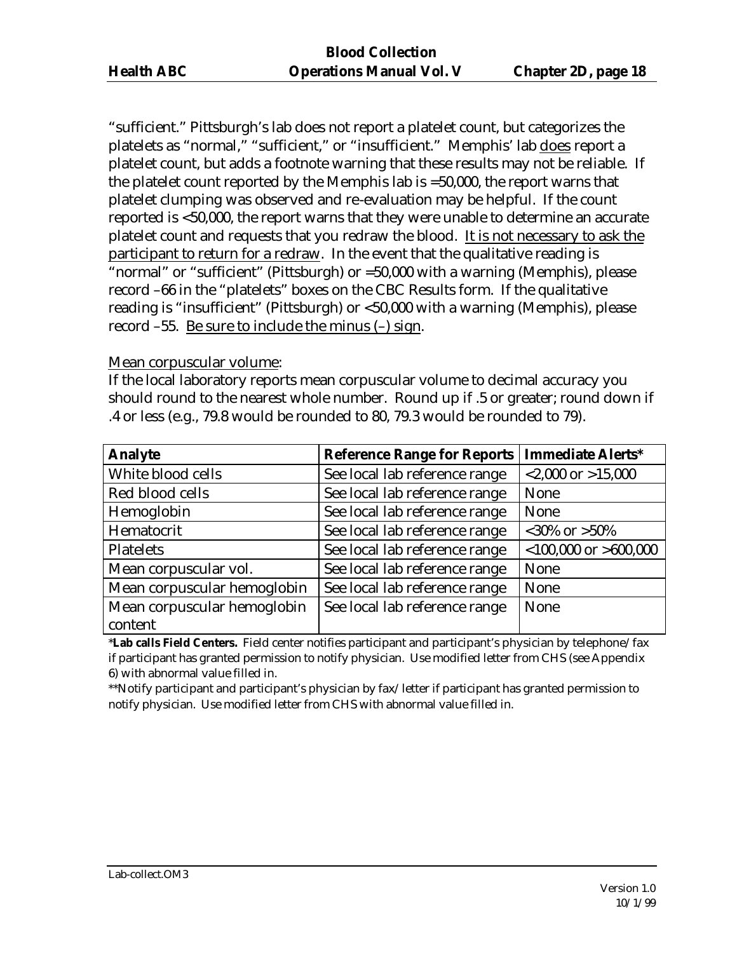"sufficient." Pittsburgh's lab does not report a platelet count, but categorizes the platelets as "normal," "sufficient," or "insufficient." Memphis' lab does report a platelet count, but adds a footnote warning that these results may not be reliable. If the platelet count reported by the Memphis lab is =50,000, the report warns that platelet clumping was observed and re-evaluation may be helpful. If the count reported is <50,000, the report warns that they were unable to determine an accurate platelet count and requests that you redraw the blood. It is not necessary to ask the participant to return for a redraw. In the event that the qualitative reading is "normal" or "sufficient" (Pittsburgh) or =50,000 with a warning (Memphis), please record –66 in the "platelets" boxes on the CBC Results form. If the qualitative reading is "insufficient" (Pittsburgh) or <50,000 with a warning (Memphis), please record –55. Be sure to include the minus (–) sign.

#### Mean corpuscular volume:

If the local laboratory reports mean corpuscular volume to decimal accuracy you should round to the nearest whole number. Round up if .5 or greater; round down if .4 or less (e.g., 79.8 would be rounded to 80, 79.3 would be rounded to 79).

| <b>Analyte</b>              | <b>Reference Range for Reports</b> | <b>Immediate Alerts*</b>  |
|-----------------------------|------------------------------------|---------------------------|
| White blood cells           | See local lab reference range      | $< 2,000$ or $> 15,000$   |
| Red blood cells             | See local lab reference range      | None                      |
| Hemoglobin                  | See local lab reference range      | None                      |
| Hematocrit                  | See local lab reference range      | $<30\% \text{ or } >50\%$ |
| <b>Platelets</b>            | See local lab reference range      | $<100,000$ or $>600,000$  |
| Mean corpuscular vol.       | See local lab reference range      | None                      |
| Mean corpuscular hemoglobin | See local lab reference range      | <b>None</b>               |
| Mean corpuscular hemoglobin | See local lab reference range      | None                      |
| content                     |                                    |                           |

\***Lab calls Field Centers.** Field center notifies participant and participant's physician by telephone/fax if participant has granted permission to notify physician. Use modified letter from CHS (see Appendix 6) with abnormal value filled in.

\*\*Notify participant and participant's physician by fax/letter if participant has granted permission to notify physician. Use modified letter from CHS with abnormal value filled in.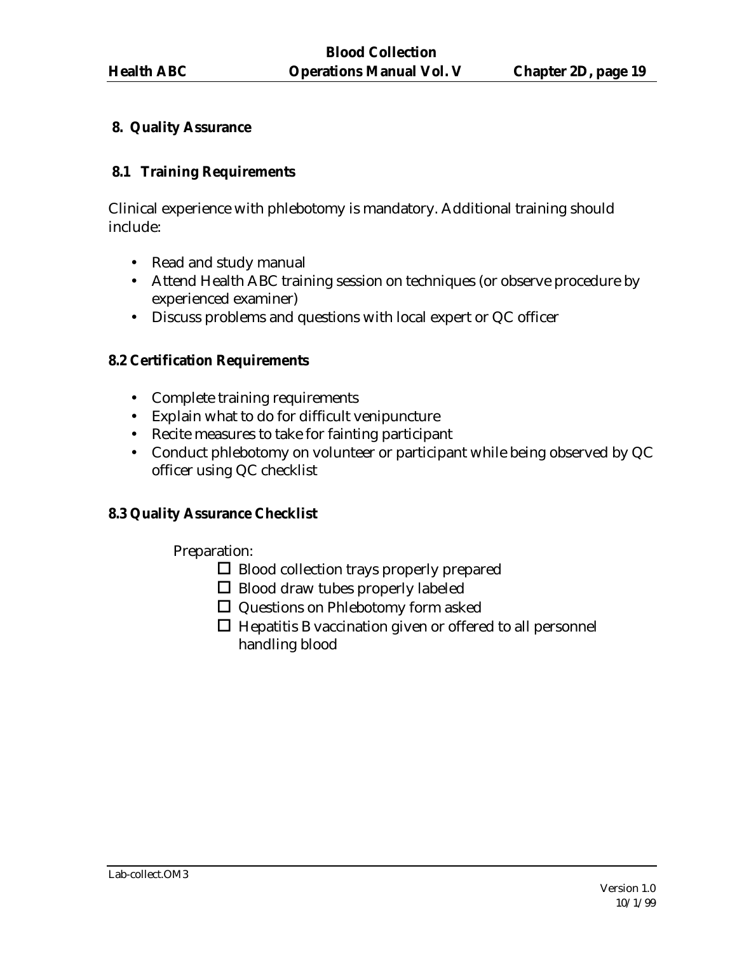#### **8. Quality Assurance**

#### **8.1 Training Requirements**

Clinical experience with phlebotomy is mandatory. Additional training should include:

- Read and study manual
- Attend Health ABC training session on techniques (or observe procedure by experienced examiner)
- Discuss problems and questions with local expert or QC officer

#### **8.2 Certification Requirements**

- Complete training requirements
- Explain what to do for difficult venipuncture
- Recite measures to take for fainting participant
- Conduct phlebotomy on volunteer or participant while being observed by QC officer using QC checklist

#### **8.3 Quality Assurance Checklist**

Preparation:

- $\Box$  Blood collection trays properly prepared
- $\Box$  Blood draw tubes properly labeled
- $\Box$  Questions on Phlebotomy form asked
- $\Box$  Hepatitis B vaccination given or offered to all personnel handling blood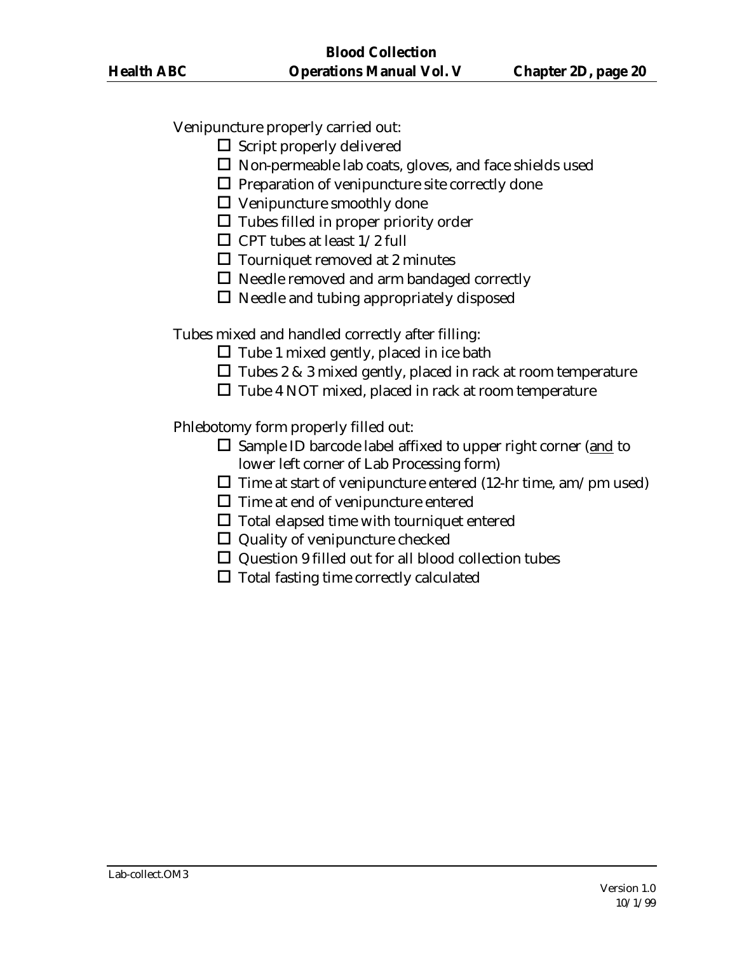Venipuncture properly carried out:

- $\Box$  Script properly delivered
	- $\Box$  Non-permeable lab coats, gloves, and face shields used
	- $\Box$  Preparation of venipuncture site correctly done
	- $\Box$  Venipuncture smoothly done
	- $\Box$  Tubes filled in proper priority order
	- $\Box$  CPT tubes at least 1/2 full
	- $\Box$  Tourniquet removed at 2 minutes
	- $\Box$  Needle removed and arm bandaged correctly
	- $\Box$  Needle and tubing appropriately disposed

Tubes mixed and handled correctly after filling:

- $\Box$  Tube 1 mixed gently, placed in ice bath
- $\Box$  Tubes 2 & 3 mixed gently, placed in rack at room temperature
- $\Box$  Tube 4 NOT mixed, placed in rack at room temperature

Phlebotomy form properly filled out:

- $\square$  Sample ID barcode label affixed to upper right corner (and to lower left corner of Lab Processing form)
- $\Box$  Time at start of venipuncture entered (12-hr time, am/pm used)
- $\square$  Time at end of venipuncture entered
- $\Box$  Total elapsed time with tourniquet entered
- $\Box$  Quality of venipuncture checked
- $\Box$  Question 9 filled out for all blood collection tubes
- $\Box$  Total fasting time correctly calculated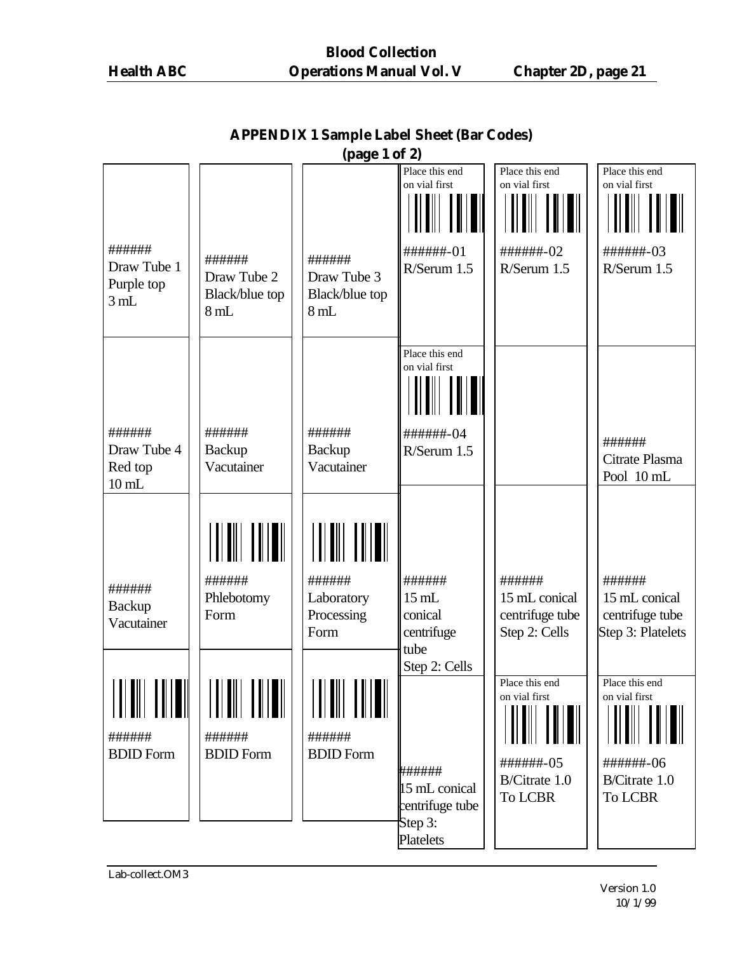|                                |                                                                                                                                                                                                                                                                                                                                                                                                                                                                                                                                                                | (page 1 of 2)                              |                                                                                          |                                                             |                                                                                                                                                                                                        |
|--------------------------------|----------------------------------------------------------------------------------------------------------------------------------------------------------------------------------------------------------------------------------------------------------------------------------------------------------------------------------------------------------------------------------------------------------------------------------------------------------------------------------------------------------------------------------------------------------------|--------------------------------------------|------------------------------------------------------------------------------------------|-------------------------------------------------------------|--------------------------------------------------------------------------------------------------------------------------------------------------------------------------------------------------------|
|                                |                                                                                                                                                                                                                                                                                                                                                                                                                                                                                                                                                                |                                            | Place this end                                                                           | Place this end                                              | Place this end                                                                                                                                                                                         |
|                                |                                                                                                                                                                                                                                                                                                                                                                                                                                                                                                                                                                |                                            | on vial first<br>$\parallel \parallel \parallel \parallel \parallel \parallel \parallel$ | on vial first                                               | on vial first                                                                                                                                                                                          |
| ######                         |                                                                                                                                                                                                                                                                                                                                                                                                                                                                                                                                                                |                                            | ######+-01                                                                               | ######+02                                                   | ######+03                                                                                                                                                                                              |
| Draw Tube 1                    | ######<br>Draw Tube 2                                                                                                                                                                                                                                                                                                                                                                                                                                                                                                                                          | ######<br>Draw Tube 3                      | R/Serum 1.5                                                                              | R/Serum 1.5                                                 | R/Serum 1.5                                                                                                                                                                                            |
| Purple top                     | Black/blue top                                                                                                                                                                                                                                                                                                                                                                                                                                                                                                                                                 | Black/blue top                             |                                                                                          |                                                             |                                                                                                                                                                                                        |
| 3 mL                           | 8 mL                                                                                                                                                                                                                                                                                                                                                                                                                                                                                                                                                           | 8 mL                                       |                                                                                          |                                                             |                                                                                                                                                                                                        |
|                                |                                                                                                                                                                                                                                                                                                                                                                                                                                                                                                                                                                |                                            |                                                                                          |                                                             |                                                                                                                                                                                                        |
|                                |                                                                                                                                                                                                                                                                                                                                                                                                                                                                                                                                                                |                                            | Place this end                                                                           |                                                             |                                                                                                                                                                                                        |
|                                |                                                                                                                                                                                                                                                                                                                                                                                                                                                                                                                                                                |                                            | on vial first                                                                            |                                                             |                                                                                                                                                                                                        |
| ######                         | ######                                                                                                                                                                                                                                                                                                                                                                                                                                                                                                                                                         | ######                                     | ######+04                                                                                |                                                             |                                                                                                                                                                                                        |
| Draw Tube 4                    | Backup                                                                                                                                                                                                                                                                                                                                                                                                                                                                                                                                                         | <b>Backup</b>                              | R/Serum 1.5                                                                              |                                                             | ######<br>Citrate Plasma                                                                                                                                                                               |
| Red top                        | Vacutainer                                                                                                                                                                                                                                                                                                                                                                                                                                                                                                                                                     | Vacutainer                                 |                                                                                          |                                                             | Pool 10 mL                                                                                                                                                                                             |
| $10$ mL                        |                                                                                                                                                                                                                                                                                                                                                                                                                                                                                                                                                                |                                            |                                                                                          |                                                             |                                                                                                                                                                                                        |
| ######<br>Backup<br>Vacutainer | ######<br>Phlebotomy<br>Form                                                                                                                                                                                                                                                                                                                                                                                                                                                                                                                                   | ######<br>Laboratory<br>Processing<br>Form | ######<br>$15$ mL<br>conical<br>centrifuge<br>tube                                       | ######<br>15 mL conical<br>centrifuge tube<br>Step 2: Cells | ######<br>15 mL conical<br>centrifuge tube<br>Step 3: Platelets                                                                                                                                        |
|                                |                                                                                                                                                                                                                                                                                                                                                                                                                                                                                                                                                                |                                            | Step 2: Cells                                                                            |                                                             |                                                                                                                                                                                                        |
| ######<br><b>BDID</b> Form     | $\begin{array}{c} \left\  \left  \left[ \begin{array}{c} 0 \\ 0 \end{array} \right]\right  \left  \left[ \begin{array}{c} 0 \\ 0 \end{array} \right]\right  \left  \left[ \begin{array}{c} 0 \\ 0 \end{array} \right]\right  \left  \left[ \begin{array}{c} 0 \\ 0 \end{array} \right]\right  \left  \left[ \begin{array}{c} 0 \\ 0 \end{array} \right]\right  \left  \left[ \begin{array}{c} 0 \\ 0 \end{array} \right]\right  \left  \left[ \begin{array}{c} 0 \\ 0 \end{array} \right]\right  \left  \left[ \begin{array}{c}$<br>######<br><b>BDID</b> Form | ######<br><b>BDID</b> Form                 |                                                                                          | Place this end<br>on vial first<br>######+-05               | Place this end<br>on vial first<br>$\left\lceil \frac{1}{2} \right\rceil \left\lceil \frac{1}{2} \right\rceil \left\lceil \frac{1}{2} \right\rceil \left\lceil \frac{1}{2} \right\rceil$<br>######+-06 |
|                                |                                                                                                                                                                                                                                                                                                                                                                                                                                                                                                                                                                |                                            | ######<br>15 mL conical                                                                  | B/Citrate 1.0                                               | <b>B/Citrate 1.0</b>                                                                                                                                                                                   |
|                                |                                                                                                                                                                                                                                                                                                                                                                                                                                                                                                                                                                |                                            | centrifuge tube                                                                          | To LCBR                                                     | To LCBR                                                                                                                                                                                                |
|                                |                                                                                                                                                                                                                                                                                                                                                                                                                                                                                                                                                                |                                            | Step $3:$                                                                                |                                                             |                                                                                                                                                                                                        |
|                                |                                                                                                                                                                                                                                                                                                                                                                                                                                                                                                                                                                |                                            | Platelets                                                                                |                                                             |                                                                                                                                                                                                        |

# **APPENDIX 1 Sample Label Sheet (Bar Codes)**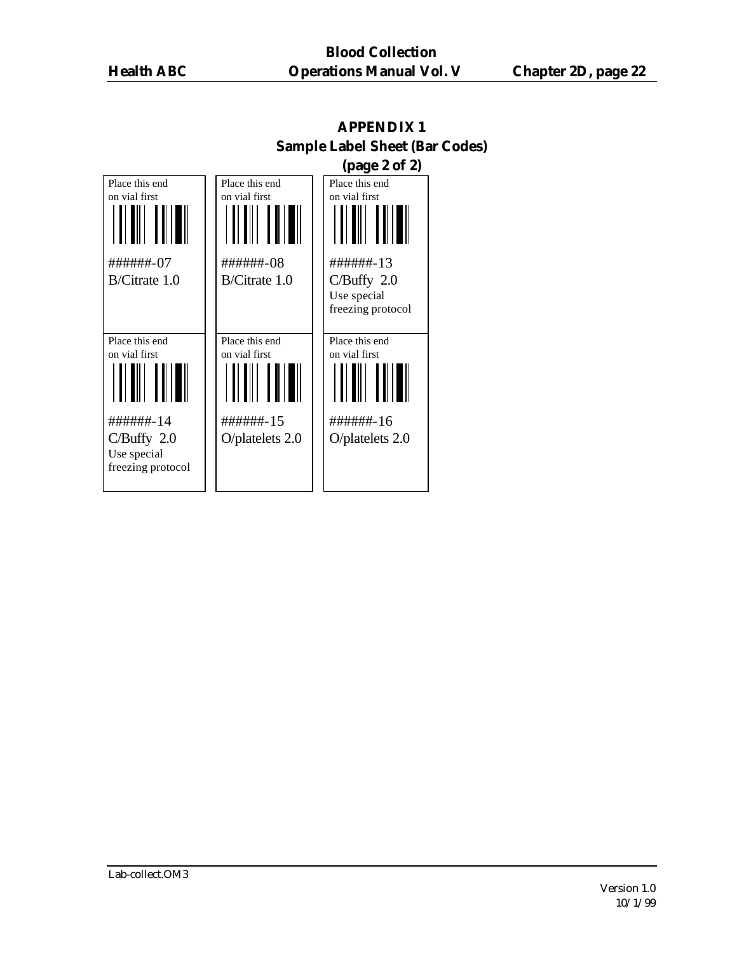

# **APPENDIX 1 Sample Label Sheet (Bar Codes)**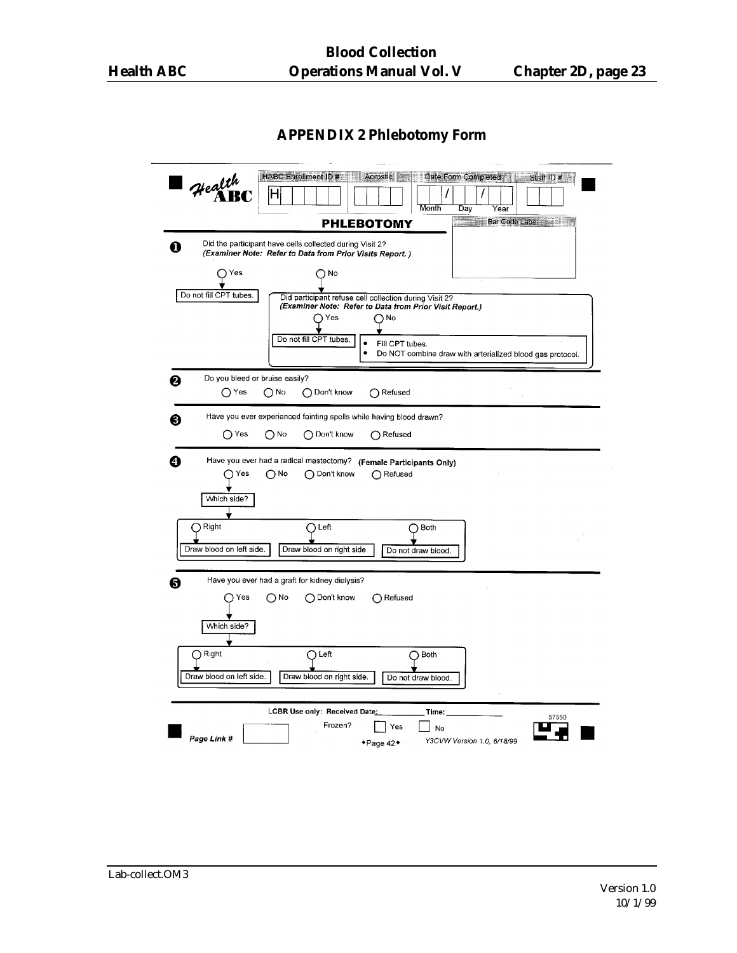# **APPENDIX 2 Phlebotomy Form**

|                          | Month<br>$\overline{\text{Dav}}$<br>Year<br><b>Bar Code Label</b>                                                    |
|--------------------------|----------------------------------------------------------------------------------------------------------------------|
|                          | PHLEBOTOMY                                                                                                           |
| O                        | Did the participant have cells collected during Visit 2?<br>(Examiner Note: Refer to Data from Prior Visits Report.) |
| Yes                      | ∩No                                                                                                                  |
| Do not fill CPT tubes.   |                                                                                                                      |
|                          | Did participant refuse cell collection during Visit 2?<br>(Examiner Note: Refer to Data from Prior Visit Report.)    |
|                          | Yes (<br>∩No                                                                                                         |
|                          | Do not fill CPT tubes.<br>Fill CPT tubes.                                                                            |
|                          | Do NOT combine draw with arterialized blood gas protocol.                                                            |
|                          | Do you bleed or bruise easily?                                                                                       |
| 2<br>$\bigcirc$ Yes      | ∩№<br>◯ Don't know<br>◯ Refused                                                                                      |
|                          |                                                                                                                      |
| в                        | Have you ever experienced fainting spells while having blood drawn?                                                  |
| $\bigcirc$ Yes           |                                                                                                                      |
|                          | ∩No<br>◯ Don't know<br>◯ Refused                                                                                     |
|                          |                                                                                                                      |
|                          | Have you ever had a radical mastectomy?<br>(Female Participants Only)                                                |
| Yes                      | ∩No<br>∩ Don't know<br>◯ Refused                                                                                     |
|                          |                                                                                                                      |
| Which side?              |                                                                                                                      |
|                          |                                                                                                                      |
| Right                    | ∩ Left<br>つ Both                                                                                                     |
| Draw blood on left side. | Draw blood on right side.<br>Do not draw blood.                                                                      |
|                          |                                                                                                                      |
|                          | Have you ever had a graft for kidney dialysis?                                                                       |
| つ Yes                    | ◯ Don't know<br>∩№<br>◯ Refused                                                                                      |
|                          |                                                                                                                      |
| Which side?              |                                                                                                                      |
|                          |                                                                                                                      |
| $\bigcirc$ Right         | ∩ Left<br>Both                                                                                                       |
| Draw blood on left side. | Draw blood on right side.<br>Do not draw blood.                                                                      |
|                          |                                                                                                                      |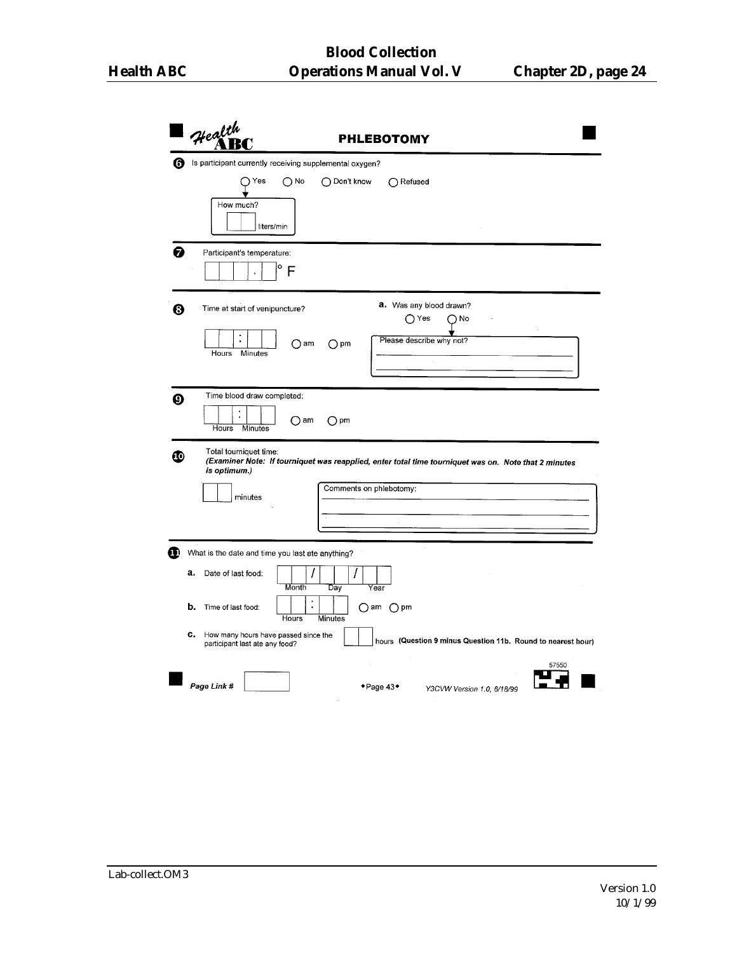|   |          | Health                                                                                       | PHLEBOTOMY                                                                                                                      |
|---|----------|----------------------------------------------------------------------------------------------|---------------------------------------------------------------------------------------------------------------------------------|
| 6 |          | ) Yes<br>How much?<br>liters/min                                                             | Is participant currently receiving supplemental oxygen?<br>∩No<br>◯ Don't know<br>$\bigcap$ Refused                             |
| 6 |          | Participant's temperature:                                                                   | Ō                                                                                                                               |
| 8 |          | Time at start of venipuncture?<br>Hours<br>Minutes                                           | a. Was any blood drawn?<br>∩Yes<br>∩ No<br>Please describe why not?<br>∩am<br>∩pm                                               |
| Ø |          | Time blood draw completed:<br>×,<br>Hours<br>Minutes                                         | ) pm<br>◯ am                                                                                                                    |
| ⊕ |          | Total tourniquet time:<br>is optimum.)<br>minutes                                            | (Examiner Note: If tourniquet was reapplied, enter total time tourniquet was on. Note that 2 minutes<br>Comments on phlebotomy: |
| œ | a.       | Date of last food:                                                                           | What is the date and time you last ate anything?<br>Month<br>Day<br>Year                                                        |
|   | b.<br>с. | Time of last food:<br>How many hours have passed since the<br>participant last ate any food? | ( ) am<br>$\bigcirc$ pm<br>Hours<br>Minutes<br>hours (Question 9 minus Question 11b. Round to nearest hour)                     |
|   |          | Page Link #                                                                                  | 57550<br>$\bullet$ Page 43 $\bullet$<br>Y3CVW Version 1.0, 6/18/99                                                              |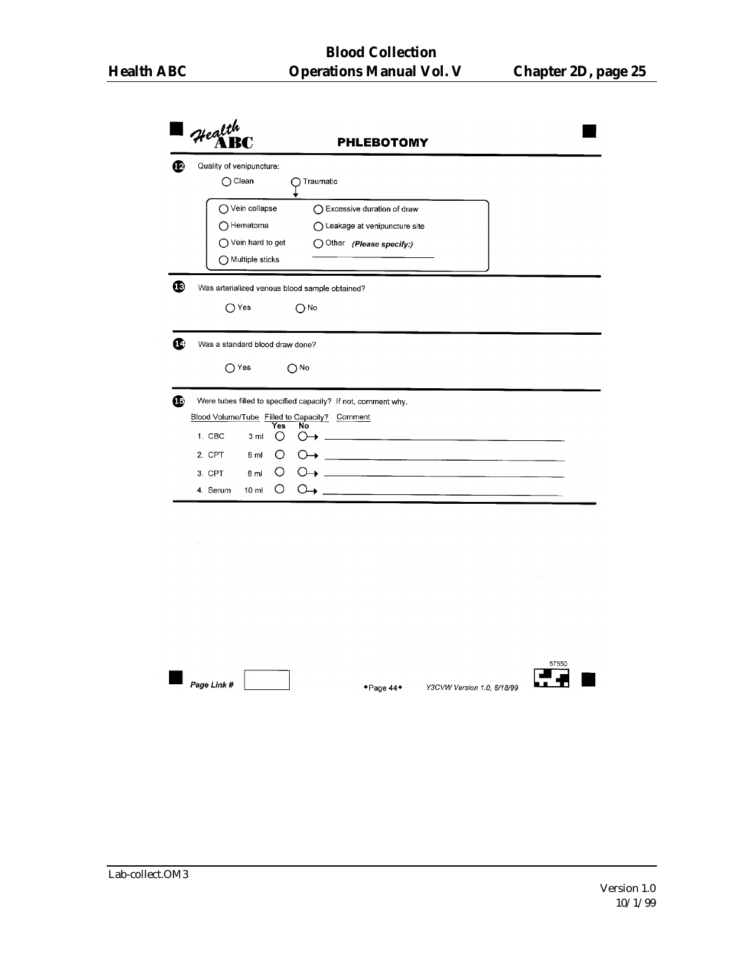|    | Health                                                                                                                                                         | <b>PHLEBOTOMY</b>                                                                                                                                                                                                                         |                                     |
|----|----------------------------------------------------------------------------------------------------------------------------------------------------------------|-------------------------------------------------------------------------------------------------------------------------------------------------------------------------------------------------------------------------------------------|-------------------------------------|
| 12 | Quality of venipuncture:<br>∩ Clean                                                                                                                            | Traumatic                                                                                                                                                                                                                                 |                                     |
|    | ◯ Vein collapse<br>◯ Hematoma<br>$\bigcap$ Vein hard to get<br>◯ Multiple sticks                                                                               | ◯ Excessive duration of draw<br>◯ Leakage at venipuncture site<br>$\bigcirc$ Other (Please specify:)                                                                                                                                      |                                     |
| ⊕  | Was arterialized venous blood sample obtained?<br>$\bigcap$ Yes                                                                                                | ∩№                                                                                                                                                                                                                                        |                                     |
| Œ  | Was a standard blood draw done?<br>$\bigcap$ Yes                                                                                                               | $\bigcirc$ No                                                                                                                                                                                                                             |                                     |
| œ  | Blood Volume/Tube Filled to Capacity? Comment<br>Yes<br>1. CBC<br>3 <sub>ml</sub><br>O<br>2. CPT<br>O<br>8 ml<br>O<br>3. CPT<br>8 ml<br>Ο<br>4. Serum<br>10 ml | Were tubes filled to specified capacity? If not, comment why.<br>No<br>O<br>the control of the control of the control of the control of the control of<br>the control of the control of the control of the control of the control of<br>Œ |                                     |
|    |                                                                                                                                                                |                                                                                                                                                                                                                                           |                                     |
|    | Page Link #                                                                                                                                                    | *Page 44*                                                                                                                                                                                                                                 | 57550<br>Y3CVW Version 1.0, 6/18/99 |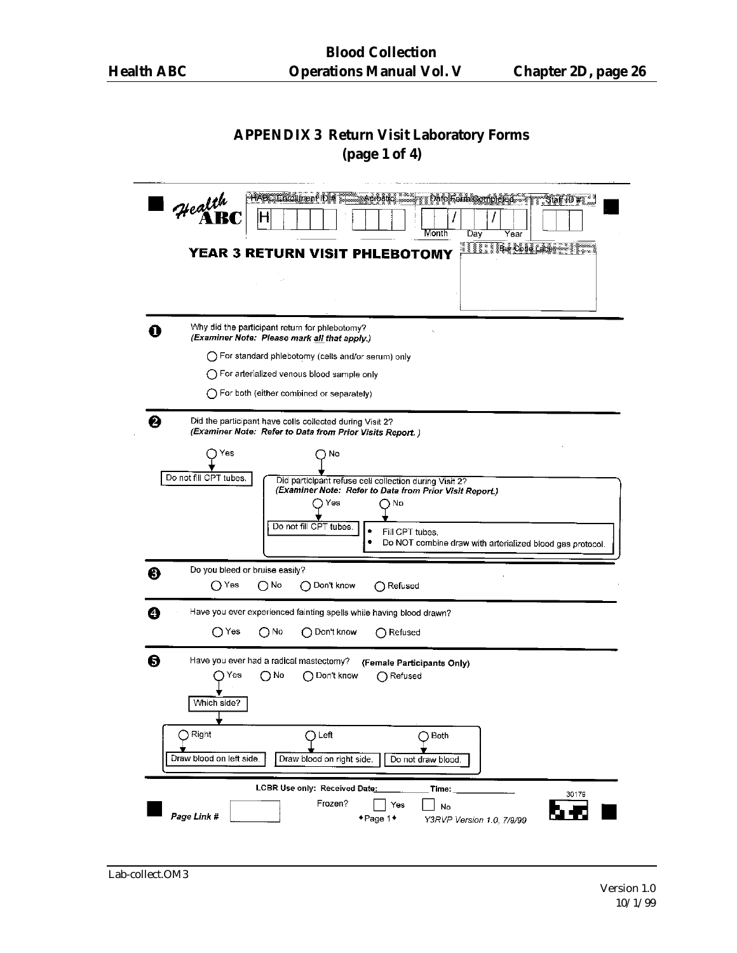# **APPENDIX 3 Return Visit Laboratory Forms (page 1 of 4)**

| <b>HABC</b> Enrollment ID #<br>Date Form Completed<br>Acrostic<br>_Staff ID #T<br>$\mathcal{H}$ ealth<br>H<br>Month<br>Day<br>Year<br>TIH<br><b>Bar Code Label</b><br>YEAR 3 RETURN VISIT PHLEBOTOMY                                                                                |
|-------------------------------------------------------------------------------------------------------------------------------------------------------------------------------------------------------------------------------------------------------------------------------------|
|                                                                                                                                                                                                                                                                                     |
| Why did the participant return for phlebotomy?<br>Ð<br>(Examiner Note: Please mark all that apply.)<br>◯ For standard phlebotomy (cells and/or serum) only                                                                                                                          |
| For arterialized venous blood sample only<br>For both (either combined or separately)                                                                                                                                                                                               |
| Did the participant have cells collected during Visit 2?<br>Đ<br>(Examiner Note: Refer to Data from Prior Visits Report.)                                                                                                                                                           |
| Yes<br>No<br>Do not fill CPT tubes.<br>Did participant refuse cell collection during Visit 2?<br>(Examiner Note: Refer to Data from Prior Visit Report.)<br>∩ Yes<br>7 No<br>Do not fill CPT tubes.<br>Fill CPT tubes.<br>Do NOT combine draw with arterialized blood gas protocol. |
| Do you bleed or bruise easily?<br>в<br>∩Yes<br>$\bigcirc$ No<br>Don't know<br>◯ Refused                                                                                                                                                                                             |
| Have you ever experienced fainting spells while having blood drawn?<br>41<br>( ) Yes<br>() No<br>( ) Don't know<br>Refused                                                                                                                                                          |
| 0<br>Have you ever had a radical mastectomy?<br>(Female Participants Only)<br>Yes<br>◯ Don't know<br>( ) No<br>◯ Refused<br>Which side?<br>Right<br>Left<br>Both<br>Draw blood on left side.<br>Draw blood on right side.<br>Do not draw blood.                                     |
| LCBR Use only: Received Date:<br>Time:<br>30179<br>Frozen?<br>Yes<br>No<br>Page Link #<br>◆Page 1◆<br>Y3RVP Version 1.0, 7/9/99                                                                                                                                                     |

Lab-collect.OM3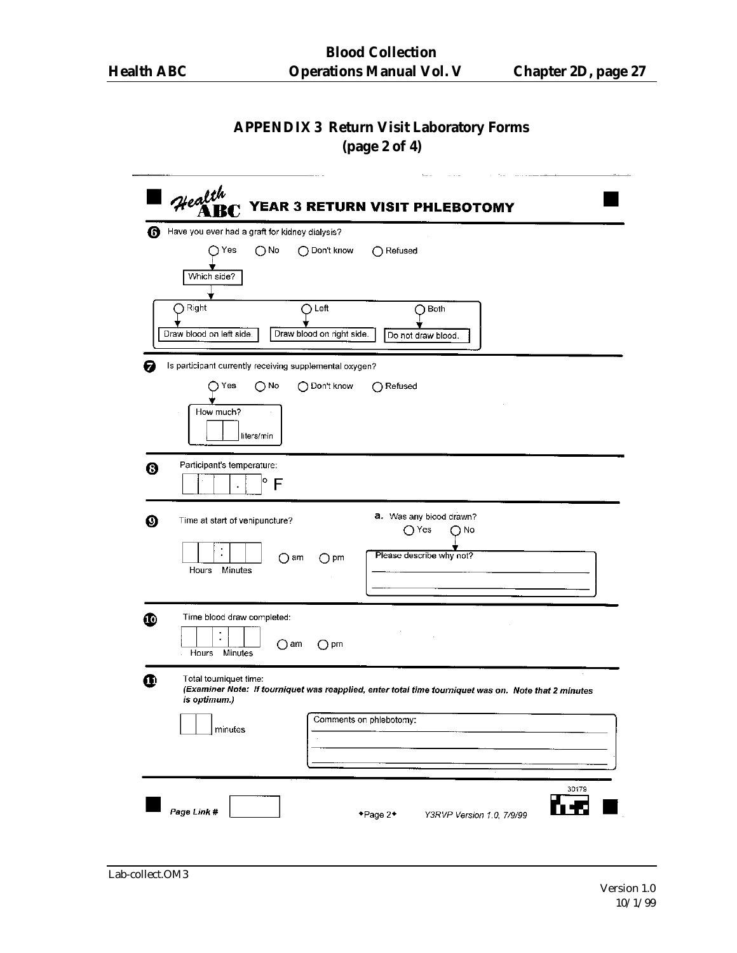# **APPENDIX 3 Return Visit Laboratory Forms (page 2 of 4)**

| 6 | Have you ever had a graft for kidney dialysis?                                                                                 |
|---|--------------------------------------------------------------------------------------------------------------------------------|
|   | ∩No<br>◯ Don't know<br>Yes<br>$\bigcap$ Refused                                                                                |
|   | Which side?                                                                                                                    |
|   |                                                                                                                                |
|   | Right<br>$\bigcap$ Left<br>Ω<br>Both<br>- 1                                                                                    |
|   | Draw blood on left side.<br>Draw blood on right side.<br>Do not draw blood.                                                    |
|   |                                                                                                                                |
|   | Is participant currently receiving supplemental oxygen?                                                                        |
|   | ◯ Don't know<br>Yes<br>∩No<br>◯ Refused                                                                                        |
|   | How much?                                                                                                                      |
|   | liters/min                                                                                                                     |
|   |                                                                                                                                |
|   | Participant's temperature:<br>٥<br>F                                                                                           |
|   |                                                                                                                                |
|   | a. Was any blood drawn?<br>Time at start of venipuncture?                                                                      |
|   | ◯ Yes<br>No                                                                                                                    |
|   | $\blacksquare$<br>Please describe why not?<br>() am<br>) pm                                                                    |
|   | Hours<br>Minutes                                                                                                               |
|   |                                                                                                                                |
|   | Time blood draw completed:                                                                                                     |
|   | $\blacksquare$<br>() am<br>() pm                                                                                               |
|   | Minutes<br>Hours                                                                                                               |
|   | Total tourniquet time:<br>(Examiner Note: If tourniquet was reapplied, enter total time tourniquet was on. Note that 2 minutes |
|   | is optimum.)                                                                                                                   |
|   | Comments on phlebotomy:<br>minutes                                                                                             |
|   |                                                                                                                                |
|   |                                                                                                                                |
|   |                                                                                                                                |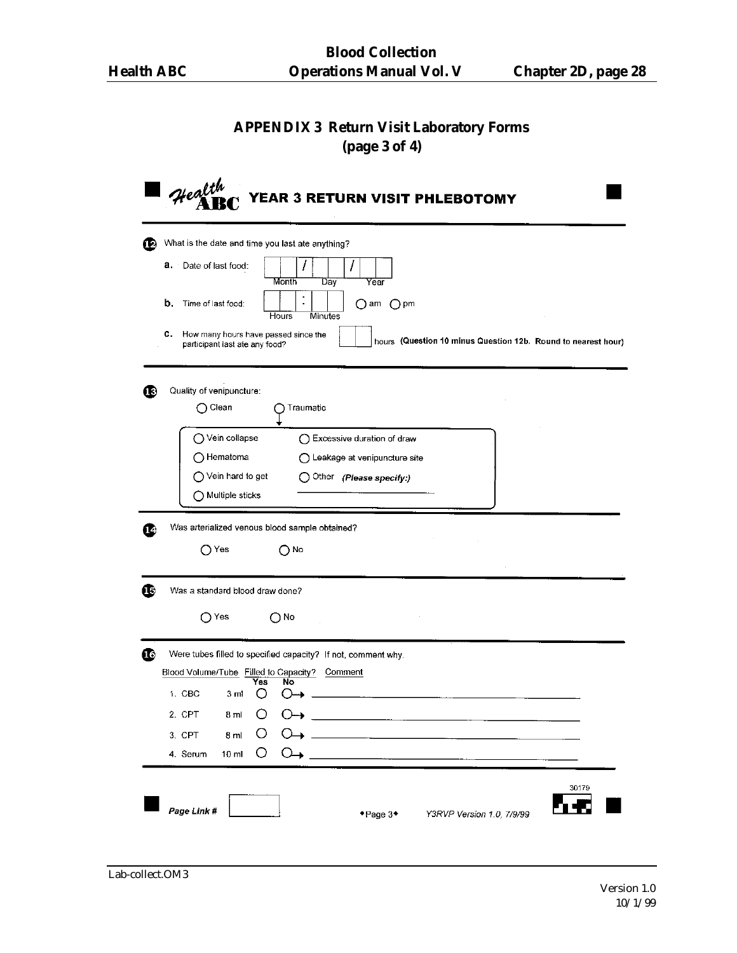# **APPENDIX 3 Return Visit Laboratory Forms (page 3 of 4)**

|    | What is the date and time you last ate anything?                                                                                              |  |  |  |  |
|----|-----------------------------------------------------------------------------------------------------------------------------------------------|--|--|--|--|
|    | Date of last food:<br>I<br>а.<br>Month<br>Day<br>Year                                                                                         |  |  |  |  |
|    | b,<br>Time of last food:<br>○am<br>$O$ pm<br>Hours<br>Minutes                                                                                 |  |  |  |  |
|    | с.<br>How many hours have passed since the<br>hours (Question 10 minus Question 12b. Round to nearest hour)<br>participant last ate any food? |  |  |  |  |
| œ  | Quality of venipuncture:                                                                                                                      |  |  |  |  |
|    | ◯ Clean<br>Traumatic                                                                                                                          |  |  |  |  |
|    | $\bigcirc$ Vein collapse<br>Excessive duration of draw<br>( )                                                                                 |  |  |  |  |
|    | ◯ Hematoma<br>Leakage at venipuncture site                                                                                                    |  |  |  |  |
|    | Vein hard to get<br>( )<br>Other (Please specify:)<br>( )                                                                                     |  |  |  |  |
|    | ◯ Multiple sticks                                                                                                                             |  |  |  |  |
|    |                                                                                                                                               |  |  |  |  |
| 14 | Was arterialized venous blood sample obtained?                                                                                                |  |  |  |  |
|    | $\bigcap$ Yes<br>◯ No                                                                                                                         |  |  |  |  |
| Œ  | Was a standard blood draw done?                                                                                                               |  |  |  |  |
|    | ∩ Yes<br>ONo                                                                                                                                  |  |  |  |  |
|    |                                                                                                                                               |  |  |  |  |
| Œ. | Were tubes filled to specified capacity? If not, comment why.                                                                                 |  |  |  |  |
|    | Blood Volume/Tube Filled to Capacity?<br>Comment<br>Yes<br>No                                                                                 |  |  |  |  |
|    | 1. CBC<br>3 ml                                                                                                                                |  |  |  |  |
|    | 2 CPT<br>8 ml                                                                                                                                 |  |  |  |  |
|    | 3. CPT<br>O<br>8 <sub>m</sub>                                                                                                                 |  |  |  |  |
|    | $\circ$<br>$\circlearrowright\hspace{-.4ex}\rightarrow$                                                                                       |  |  |  |  |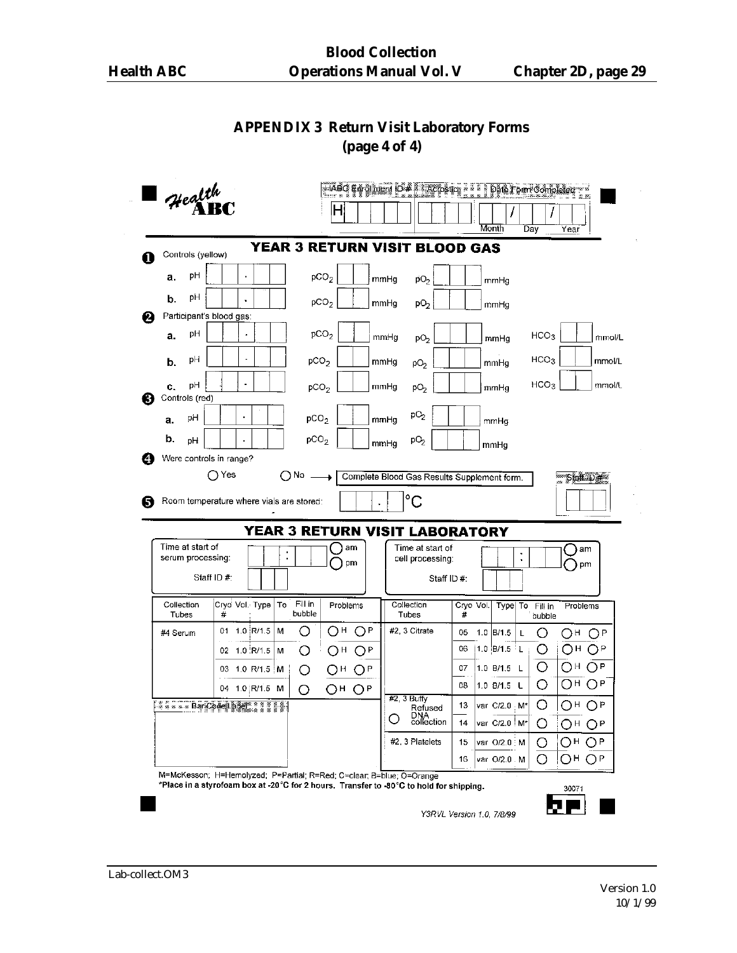# **APPENDIX 3 Return Visit Laboratory Forms (page 4 of 4)**

| Health                                                                                                                                                          | HABC Enrollment ID# F*Acrostic F F Pate Form Completed T* |                          |                                    |                            |  |  |
|-----------------------------------------------------------------------------------------------------------------------------------------------------------------|-----------------------------------------------------------|--------------------------|------------------------------------|----------------------------|--|--|
|                                                                                                                                                                 | ΙH                                                        |                          | Month<br>Day                       | Year                       |  |  |
| Controls (yellow)                                                                                                                                               | <b>YEAR 3 RETURN VISIT BLOOD GAS</b>                      |                          |                                    |                            |  |  |
| рH<br>a.                                                                                                                                                        | pCO <sub>2</sub>                                          | mmHg<br>pO <sub>2</sub>  | mmHg                               |                            |  |  |
| pΗ<br>b.                                                                                                                                                        | pCO <sub>2</sub>                                          | mmHg<br>pO <sub>2</sub>  | mmHg                               |                            |  |  |
| Participant's blood gas:                                                                                                                                        |                                                           |                          |                                    |                            |  |  |
| рH<br>a.                                                                                                                                                        | pCO <sub>2</sub>                                          | mmHg<br>pO <sub>2</sub>  | mmHa                               | HCO <sub>2</sub><br>mmol/L |  |  |
| рH<br>b.                                                                                                                                                        | pCO <sub>2</sub>                                          | mmHg<br>рO <sub>2</sub>  | mmHg                               | HCO <sub>3</sub><br>mmol/L |  |  |
| рH<br>C.<br>Controls (red)                                                                                                                                      | pCO <sub>2</sub>                                          | mmHg<br>pO <sub>2</sub>  | mmHg                               | HCO <sub>3</sub><br>mmol/L |  |  |
| рH<br>$\blacksquare$<br>a.                                                                                                                                      | pCO <sub>2</sub>                                          | pO <sub>2</sub><br>mmHg  | mmHq                               |                            |  |  |
| b.<br>pН                                                                                                                                                        | pCO <sub>2</sub>                                          | pO <sub>2</sub><br>mmHq  | mmHg                               |                            |  |  |
| Were controls in range?                                                                                                                                         |                                                           |                          |                                    |                            |  |  |
| ∩ Yes<br>∩No<br>Complete Blood Gas Results Supplement form.<br>Staff ID#                                                                                        |                                                           |                          |                                    |                            |  |  |
| $^{\circ}C$<br>Room temperature where vials are stored:<br>5                                                                                                    |                                                           |                          |                                    |                            |  |  |
| YEAR 3 RETURN VISIT LABORATORY                                                                                                                                  |                                                           |                          |                                    |                            |  |  |
| Time at start of<br>serum processing:                                                                                                                           | Time at start of<br>am<br>cell processing:                |                          |                                    |                            |  |  |
| Staff ID $#$ :                                                                                                                                                  | pm                                                        | Staff ID#:               |                                    | pm                         |  |  |
| Cryo Vol. Type<br>Collection<br>To<br>Tubes<br>#                                                                                                                | Fill in<br>Problems<br>bubble                             | Collection<br>Tubes      | Cryo Vol.   Type   To Fill in<br># | Problems<br>bubble         |  |  |
| 01 1.0 R/1.5<br>М<br>#4 Serum                                                                                                                                   | O<br>⊜н<br>OP                                             | #2, 3 Citrate            | $1.0$ B/1.5<br>05<br>L             | O<br>( ) H<br>$\bigcirc$ P |  |  |
| 02 1.0 R/1.5<br>М                                                                                                                                               | O<br>( ) H<br>O <sub>P</sub>                              |                          | 1.0 IB/1.5 ⊧L<br>06                | O<br>ОН ОР                 |  |  |
| 03 1.0 R/1.5 M                                                                                                                                                  | $( )$ H<br>$\bigcirc$ P<br>Ο                              |                          | 07<br>1.0 B/1.5 L                  | O<br>О <sup>н</sup> Ор     |  |  |
| 04 1.0 R/1.5 M                                                                                                                                                  | ОН ОР<br>O                                                |                          | 1.0 B/1.5 L<br>08                  | ОН ОР<br>O                 |  |  |
| <b>Experience Label 11</b><br>Ð                                                                                                                                 |                                                           | $#2, 3$ Buffy<br>Refused | 13<br>var C/2.0 <sub>:</sub> M*    | O<br>OН<br>O <sub>P</sub>  |  |  |
|                                                                                                                                                                 |                                                           | DNA<br>collection        | var C/2.0 M*<br>14                 | Ó<br>O <sub>H</sub><br>OЕ  |  |  |
|                                                                                                                                                                 |                                                           | #2, 3 Platelets          | 15<br>var O/2.0 M                  | Он ОР<br>O                 |  |  |
|                                                                                                                                                                 |                                                           |                          | 16<br>var O/2.0 M                  | ОН ОР<br>O                 |  |  |
| M=McKesson; H=Hemolyzed; P=Partial; R=Red; C=clear; B=blue; O=Orange<br>*Place in a styrofoam box at -20°C for 2 hours. Transfer to -80°C to hold for shipping. |                                                           |                          |                                    |                            |  |  |
| 30071                                                                                                                                                           |                                                           |                          |                                    |                            |  |  |
| Y3RVL Version 1.0, 7/8/99                                                                                                                                       |                                                           |                          |                                    |                            |  |  |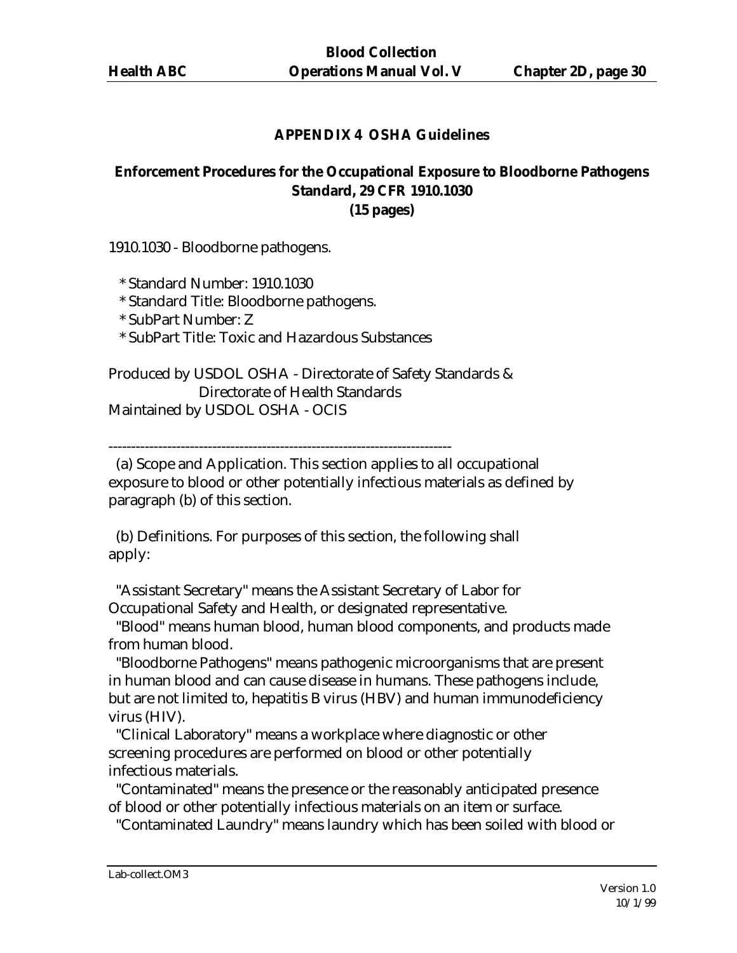## **APPENDIX 4 OSHA Guidelines**

## **Enforcement Procedures for the Occupational Exposure to Bloodborne Pathogens Standard, 29 CFR 1910.1030 (15 pages)**

1910.1030 - Bloodborne pathogens.

\* Standard Number: 1910.1030

\* Standard Title: Bloodborne pathogens.

\* SubPart Number: Z

\* SubPart Title: Toxic and Hazardous Substances

Produced by USDOL OSHA - Directorate of Safety Standards & Directorate of Health Standards Maintained by USDOL OSHA - OCIS

----------------------------------------------------------------------------

 (a) Scope and Application. This section applies to all occupational exposure to blood or other potentially infectious materials as defined by paragraph (b) of this section.

 (b) Definitions. For purposes of this section, the following shall apply:

 "Assistant Secretary" means the Assistant Secretary of Labor for Occupational Safety and Health, or designated representative.

 "Blood" means human blood, human blood components, and products made from human blood.

 "Bloodborne Pathogens" means pathogenic microorganisms that are present in human blood and can cause disease in humans. These pathogens include, but are not limited to, hepatitis B virus (HBV) and human immunodeficiency virus (HIV).

 "Clinical Laboratory" means a workplace where diagnostic or other screening procedures are performed on blood or other potentially infectious materials.

 "Contaminated" means the presence or the reasonably anticipated presence of blood or other potentially infectious materials on an item or surface.

"Contaminated Laundry" means laundry which has been soiled with blood or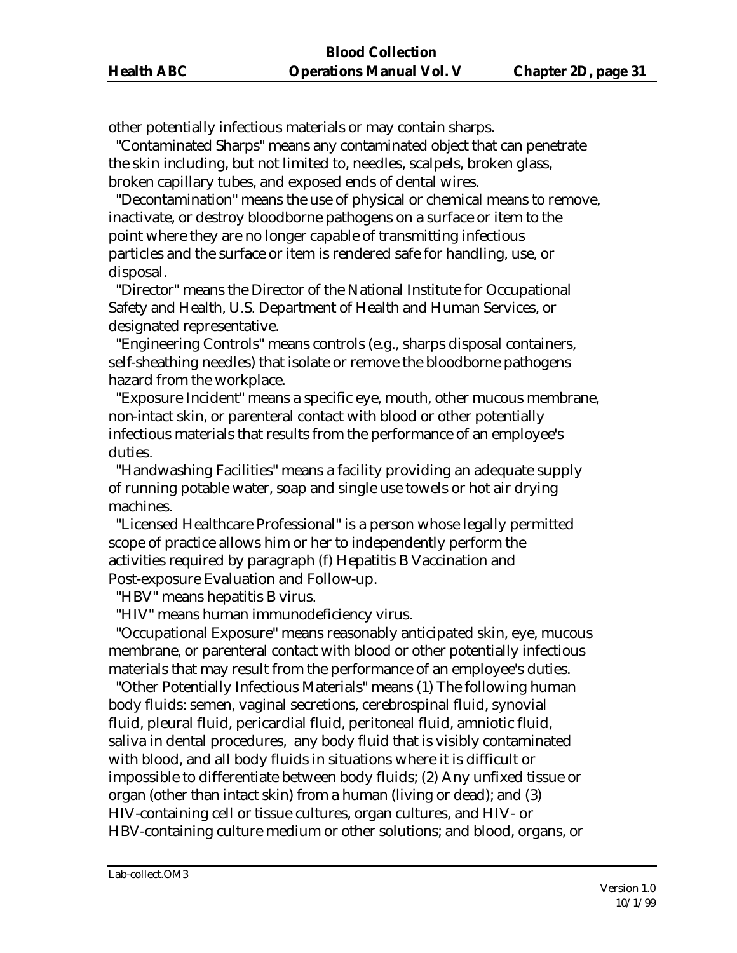other potentially infectious materials or may contain sharps.

 "Contaminated Sharps" means any contaminated object that can penetrate the skin including, but not limited to, needles, scalpels, broken glass, broken capillary tubes, and exposed ends of dental wires.

 "Decontamination" means the use of physical or chemical means to remove, inactivate, or destroy bloodborne pathogens on a surface or item to the point where they are no longer capable of transmitting infectious particles and the surface or item is rendered safe for handling, use, or disposal.

 "Director" means the Director of the National Institute for Occupational Safety and Health, U.S. Department of Health and Human Services, or designated representative.

 "Engineering Controls" means controls (e.g., sharps disposal containers, self-sheathing needles) that isolate or remove the bloodborne pathogens hazard from the workplace.

 "Exposure Incident" means a specific eye, mouth, other mucous membrane, non-intact skin, or parenteral contact with blood or other potentially infectious materials that results from the performance of an employee's duties.

 "Handwashing Facilities" means a facility providing an adequate supply of running potable water, soap and single use towels or hot air drying machines.

 "Licensed Healthcare Professional" is a person whose legally permitted scope of practice allows him or her to independently perform the activities required by paragraph (f) Hepatitis B Vaccination and Post-exposure Evaluation and Follow-up.

"HBV" means hepatitis B virus.

"HIV" means human immunodeficiency virus.

 "Occupational Exposure" means reasonably anticipated skin, eye, mucous membrane, or parenteral contact with blood or other potentially infectious materials that may result from the performance of an employee's duties.

 "Other Potentially Infectious Materials" means (1) The following human body fluids: semen, vaginal secretions, cerebrospinal fluid, synovial fluid, pleural fluid, pericardial fluid, peritoneal fluid, amniotic fluid, saliva in dental procedures, any body fluid that is visibly contaminated with blood, and all body fluids in situations where it is difficult or impossible to differentiate between body fluids; (2) Any unfixed tissue or organ (other than intact skin) from a human (living or dead); and (3) HIV-containing cell or tissue cultures, organ cultures, and HIV- or HBV-containing culture medium or other solutions; and blood, organs, or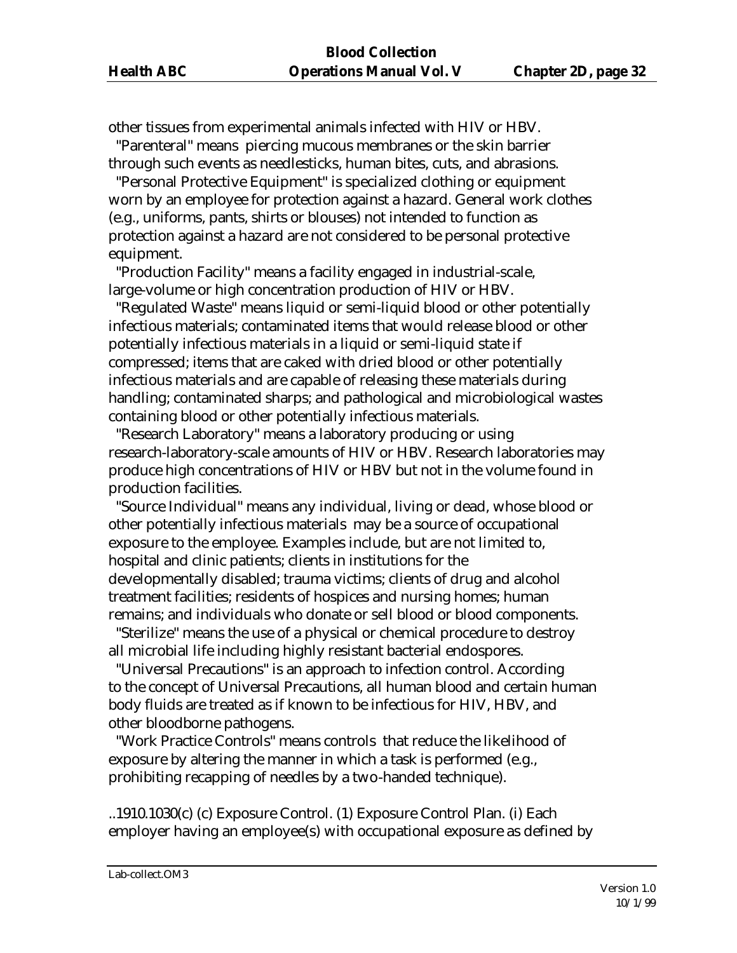other tissues from experimental animals infected with HIV or HBV.

 "Parenteral" means piercing mucous membranes or the skin barrier through such events as needlesticks, human bites, cuts, and abrasions.

 "Personal Protective Equipment" is specialized clothing or equipment worn by an employee for protection against a hazard. General work clothes (e.g., uniforms, pants, shirts or blouses) not intended to function as protection against a hazard are not considered to be personal protective equipment.

 "Production Facility" means a facility engaged in industrial-scale, large-volume or high concentration production of HIV or HBV.

 "Regulated Waste" means liquid or semi-liquid blood or other potentially infectious materials; contaminated items that would release blood or other potentially infectious materials in a liquid or semi-liquid state if compressed; items that are caked with dried blood or other potentially infectious materials and are capable of releasing these materials during handling; contaminated sharps; and pathological and microbiological wastes containing blood or other potentially infectious materials.

 "Research Laboratory" means a laboratory producing or using research-laboratory-scale amounts of HIV or HBV. Research laboratories may produce high concentrations of HIV or HBV but not in the volume found in production facilities.

 "Source Individual" means any individual, living or dead, whose blood or other potentially infectious materials may be a source of occupational exposure to the employee. Examples include, but are not limited to, hospital and clinic patients; clients in institutions for the developmentally disabled; trauma victims; clients of drug and alcohol treatment facilities; residents of hospices and nursing homes; human remains; and individuals who donate or sell blood or blood components.

 "Sterilize" means the use of a physical or chemical procedure to destroy all microbial life including highly resistant bacterial endospores.

 "Universal Precautions" is an approach to infection control. According to the concept of Universal Precautions, all human blood and certain human body fluids are treated as if known to be infectious for HIV, HBV, and other bloodborne pathogens.

 "Work Practice Controls" means controls that reduce the likelihood of exposure by altering the manner in which a task is performed (e.g., prohibiting recapping of needles by a two-handed technique).

..1910.1030(c) (c) Exposure Control. (1) Exposure Control Plan. (i) Each employer having an employee(s) with occupational exposure as defined by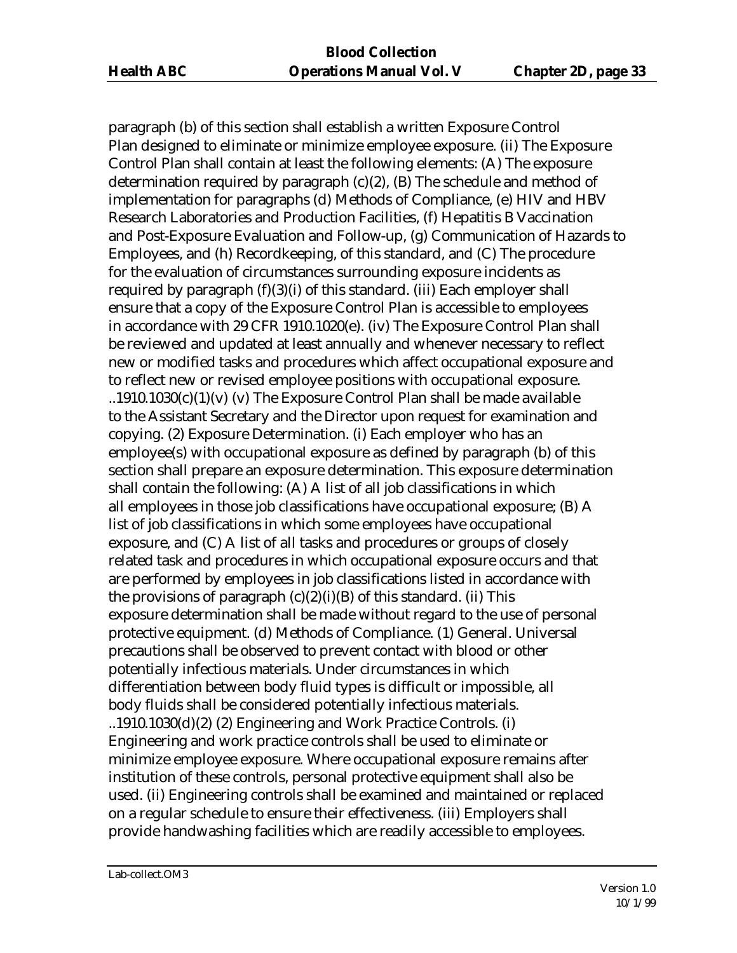paragraph (b) of this section shall establish a written Exposure Control Plan designed to eliminate or minimize employee exposure. (ii) The Exposure Control Plan shall contain at least the following elements: (A) The exposure determination required by paragraph (c)(2), (B) The schedule and method of implementation for paragraphs (d) Methods of Compliance, (e) HIV and HBV Research Laboratories and Production Facilities, (f) Hepatitis B Vaccination and Post-Exposure Evaluation and Follow-up, (g) Communication of Hazards to Employees, and (h) Recordkeeping, of this standard, and (C) The procedure for the evaluation of circumstances surrounding exposure incidents as required by paragraph (f)(3)(i) of this standard. (iii) Each employer shall ensure that a copy of the Exposure Control Plan is accessible to employees in accordance with 29 CFR 1910.1020(e). (iv) The Exposure Control Plan shall be reviewed and updated at least annually and whenever necessary to reflect new or modified tasks and procedures which affect occupational exposure and to reflect new or revised employee positions with occupational exposure.  $1.1910.1030(c)(1)(v)$  (v) The Exposure Control Plan shall be made available to the Assistant Secretary and the Director upon request for examination and copying. (2) Exposure Determination. (i) Each employer who has an employee(s) with occupational exposure as defined by paragraph (b) of this section shall prepare an exposure determination. This exposure determination shall contain the following: (A) A list of all job classifications in which all employees in those job classifications have occupational exposure; (B) A list of job classifications in which some employees have occupational exposure, and (C) A list of all tasks and procedures or groups of closely related task and procedures in which occupational exposure occurs and that are performed by employees in job classifications listed in accordance with the provisions of paragraph  $(c)(2)(i)(B)$  of this standard. (ii) This exposure determination shall be made without regard to the use of personal protective equipment. (d) Methods of Compliance. (1) General. Universal precautions shall be observed to prevent contact with blood or other potentially infectious materials. Under circumstances in which differentiation between body fluid types is difficult or impossible, all body fluids shall be considered potentially infectious materials. ..1910.1030(d)(2) (2) Engineering and Work Practice Controls. (i) Engineering and work practice controls shall be used to eliminate or minimize employee exposure. Where occupational exposure remains after institution of these controls, personal protective equipment shall also be used. (ii) Engineering controls shall be examined and maintained or replaced on a regular schedule to ensure their effectiveness. (iii) Employers shall provide handwashing facilities which are readily accessible to employees.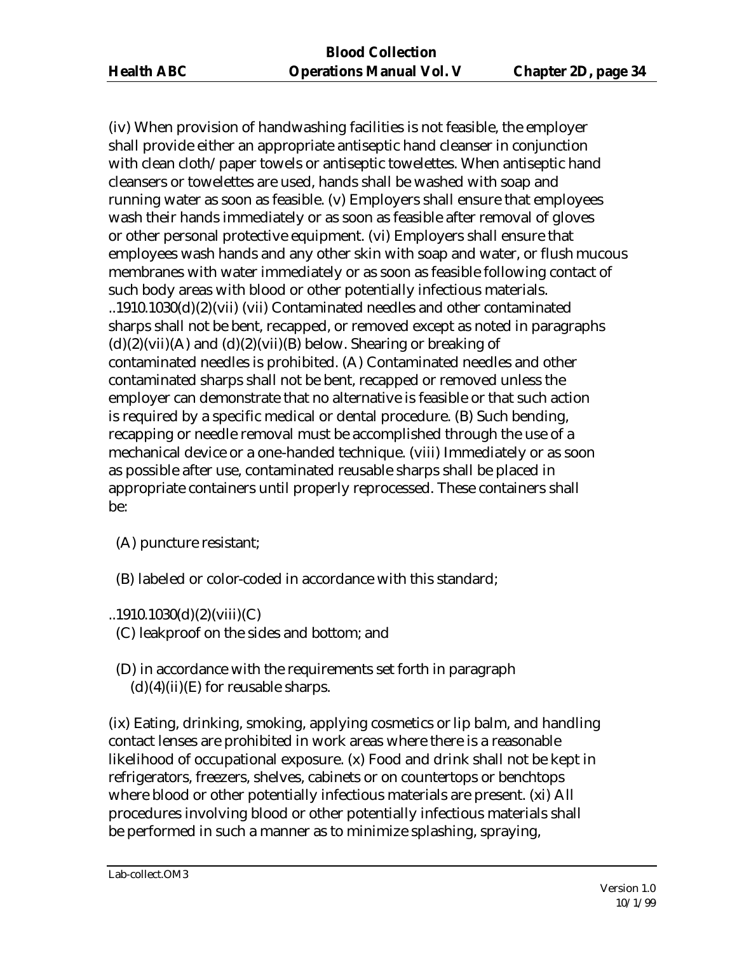(iv) When provision of handwashing facilities is not feasible, the employer shall provide either an appropriate antiseptic hand cleanser in conjunction with clean cloth/paper towels or antiseptic towelettes. When antiseptic hand cleansers or towelettes are used, hands shall be washed with soap and running water as soon as feasible. (v) Employers shall ensure that employees wash their hands immediately or as soon as feasible after removal of gloves or other personal protective equipment. (vi) Employers shall ensure that employees wash hands and any other skin with soap and water, or flush mucous membranes with water immediately or as soon as feasible following contact of such body areas with blood or other potentially infectious materials. ..1910.1030(d)(2)(vii) (vii) Contaminated needles and other contaminated sharps shall not be bent, recapped, or removed except as noted in paragraphs  $(d)(2)(vii)(A)$  and  $(d)(2)(vii)(B)$  below. Shearing or breaking of contaminated needles is prohibited. (A) Contaminated needles and other contaminated sharps shall not be bent, recapped or removed unless the employer can demonstrate that no alternative is feasible or that such action is required by a specific medical or dental procedure. (B) Such bending, recapping or needle removal must be accomplished through the use of a mechanical device or a one-handed technique. (viii) Immediately or as soon as possible after use, contaminated reusable sharps shall be placed in appropriate containers until properly reprocessed. These containers shall be:

- (A) puncture resistant;
- (B) labeled or color-coded in accordance with this standard;
- $.1910.1030(d)(2)(viii)(C)$
- (C) leakproof on the sides and bottom; and
- (D) in accordance with the requirements set forth in paragraph  $(d)(4)(ii)(E)$  for reusable sharps.

(ix) Eating, drinking, smoking, applying cosmetics or lip balm, and handling contact lenses are prohibited in work areas where there is a reasonable likelihood of occupational exposure. (x) Food and drink shall not be kept in refrigerators, freezers, shelves, cabinets or on countertops or benchtops where blood or other potentially infectious materials are present. (xi) All procedures involving blood or other potentially infectious materials shall be performed in such a manner as to minimize splashing, spraying,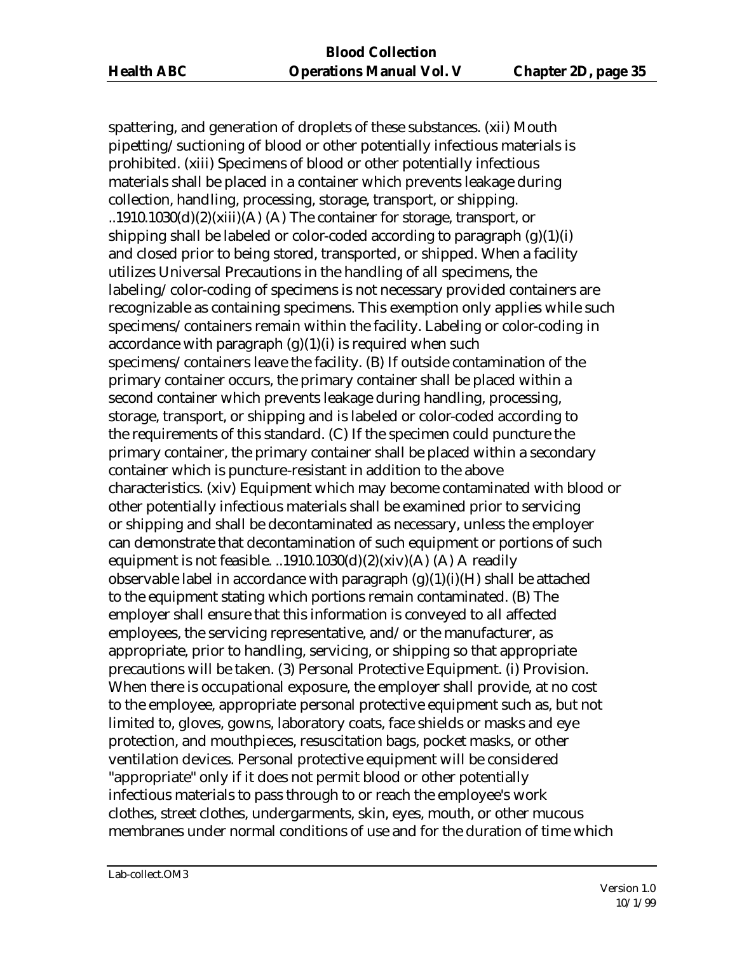spattering, and generation of droplets of these substances. (xii) Mouth pipetting/suctioning of blood or other potentially infectious materials is prohibited. (xiii) Specimens of blood or other potentially infectious materials shall be placed in a container which prevents leakage during collection, handling, processing, storage, transport, or shipping. ..1910.1030(d)(2)(xiii)(A) (A) The container for storage, transport, or shipping shall be labeled or color-coded according to paragraph (g)(1)(i) and closed prior to being stored, transported, or shipped. When a facility utilizes Universal Precautions in the handling of all specimens, the labeling/color-coding of specimens is not necessary provided containers are recognizable as containing specimens. This exemption only applies while such specimens/containers remain within the facility. Labeling or color-coding in accordance with paragraph  $(g)(1)(i)$  is required when such specimens/containers leave the facility. (B) If outside contamination of the primary container occurs, the primary container shall be placed within a second container which prevents leakage during handling, processing, storage, transport, or shipping and is labeled or color-coded according to the requirements of this standard. (C) If the specimen could puncture the primary container, the primary container shall be placed within a secondary container which is puncture-resistant in addition to the above characteristics. (xiv) Equipment which may become contaminated with blood or other potentially infectious materials shall be examined prior to servicing or shipping and shall be decontaminated as necessary, unless the employer can demonstrate that decontamination of such equipment or portions of such equipment is not feasible. ..1910.1030(d)(2)(xiv)(A) (A) A readily observable label in accordance with paragraph  $(g)(1)(i)(H)$  shall be attached to the equipment stating which portions remain contaminated. (B) The employer shall ensure that this information is conveyed to all affected employees, the servicing representative, and/or the manufacturer, as appropriate, prior to handling, servicing, or shipping so that appropriate precautions will be taken. (3) Personal Protective Equipment. (i) Provision. When there is occupational exposure, the employer shall provide, at no cost to the employee, appropriate personal protective equipment such as, but not limited to, gloves, gowns, laboratory coats, face shields or masks and eye protection, and mouthpieces, resuscitation bags, pocket masks, or other ventilation devices. Personal protective equipment will be considered "appropriate" only if it does not permit blood or other potentially infectious materials to pass through to or reach the employee's work clothes, street clothes, undergarments, skin, eyes, mouth, or other mucous membranes under normal conditions of use and for the duration of time which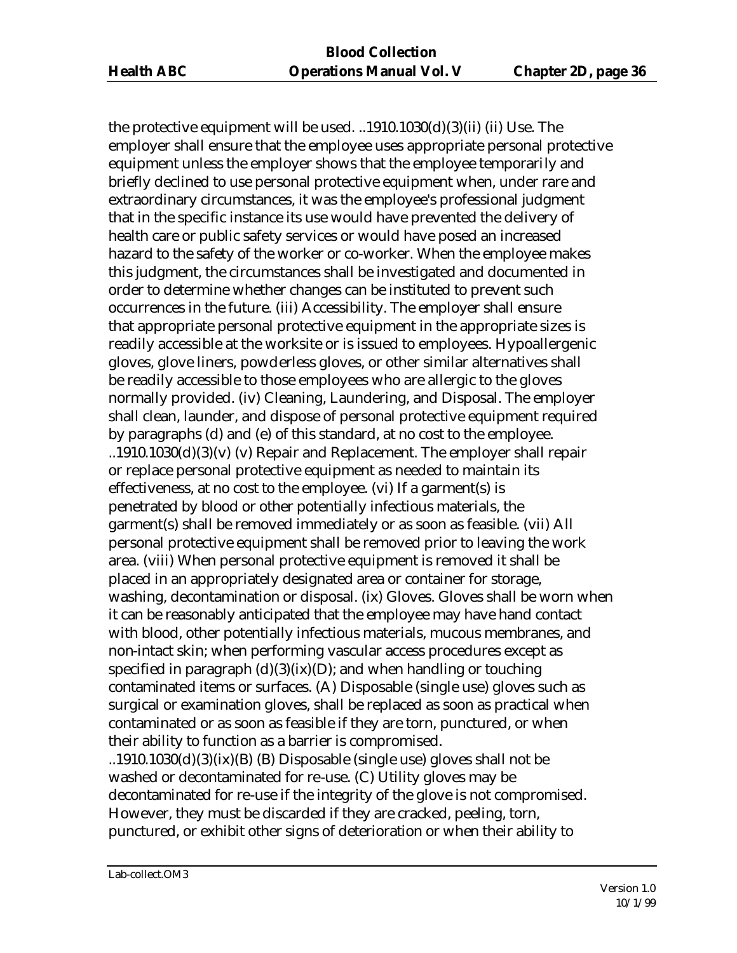the protective equipment will be used. ..1910.1030(d)(3)(ii) (ii) Use. The employer shall ensure that the employee uses appropriate personal protective equipment unless the employer shows that the employee temporarily and briefly declined to use personal protective equipment when, under rare and extraordinary circumstances, it was the employee's professional judgment that in the specific instance its use would have prevented the delivery of health care or public safety services or would have posed an increased hazard to the safety of the worker or co-worker. When the employee makes this judgment, the circumstances shall be investigated and documented in order to determine whether changes can be instituted to prevent such occurrences in the future. (iii) Accessibility. The employer shall ensure that appropriate personal protective equipment in the appropriate sizes is readily accessible at the worksite or is issued to employees. Hypoallergenic gloves, glove liners, powderless gloves, or other similar alternatives shall be readily accessible to those employees who are allergic to the gloves normally provided. (iv) Cleaning, Laundering, and Disposal. The employer shall clean, launder, and dispose of personal protective equipment required by paragraphs (d) and (e) of this standard, at no cost to the employee.  $1.1910.1030(d)(3)(v)$  (v) Repair and Replacement. The employer shall repair or replace personal protective equipment as needed to maintain its effectiveness, at no cost to the employee. (vi) If a garment(s) is penetrated by blood or other potentially infectious materials, the garment(s) shall be removed immediately or as soon as feasible. (vii) All personal protective equipment shall be removed prior to leaving the work area. (viii) When personal protective equipment is removed it shall be placed in an appropriately designated area or container for storage, washing, decontamination or disposal. (ix) Gloves. Gloves shall be worn when it can be reasonably anticipated that the employee may have hand contact with blood, other potentially infectious materials, mucous membranes, and non-intact skin; when performing vascular access procedures except as specified in paragraph  $(d)(3)(ix)(D)$ ; and when handling or touching contaminated items or surfaces. (A) Disposable (single use) gloves such as surgical or examination gloves, shall be replaced as soon as practical when contaminated or as soon as feasible if they are torn, punctured, or when their ability to function as a barrier is compromised. ..1910.1030(d)(3)(ix)(B) (B) Disposable (single use) gloves shall not be washed or decontaminated for re-use. (C) Utility gloves may be decontaminated for re-use if the integrity of the glove is not compromised. However, they must be discarded if they are cracked, peeling, torn, punctured, or exhibit other signs of deterioration or when their ability to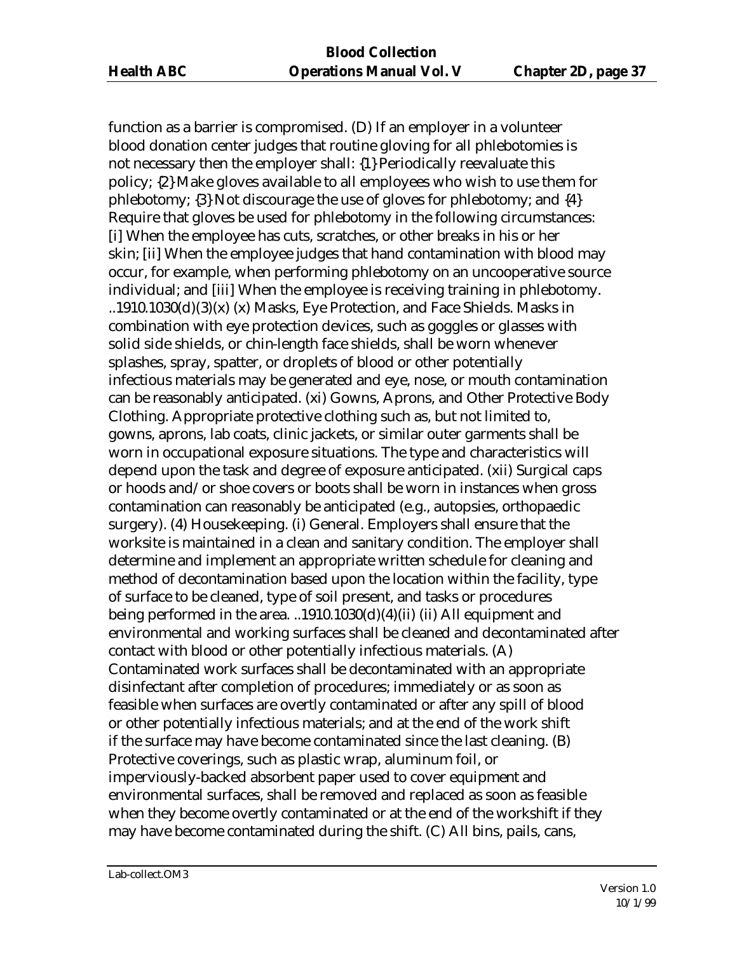function as a barrier is compromised. (D) If an employer in a volunteer blood donation center judges that routine gloving for all phlebotomies is not necessary then the employer shall: {1} Periodically reevaluate this policy; {2} Make gloves available to all employees who wish to use them for phlebotomy; {3} Not discourage the use of gloves for phlebotomy; and {4} Require that gloves be used for phlebotomy in the following circumstances: [i] When the employee has cuts, scratches, or other breaks in his or her skin; [ii] When the employee judges that hand contamination with blood may occur, for example, when performing phlebotomy on an uncooperative source individual; and [iii] When the employee is receiving training in phlebotomy. ..1910.1030(d)(3)(x) (x) Masks, Eye Protection, and Face Shields. Masks in combination with eye protection devices, such as goggles or glasses with solid side shields, or chin-length face shields, shall be worn whenever splashes, spray, spatter, or droplets of blood or other potentially infectious materials may be generated and eye, nose, or mouth contamination can be reasonably anticipated. (xi) Gowns, Aprons, and Other Protective Body Clothing. Appropriate protective clothing such as, but not limited to, gowns, aprons, lab coats, clinic jackets, or similar outer garments shall be worn in occupational exposure situations. The type and characteristics will depend upon the task and degree of exposure anticipated. (xii) Surgical caps or hoods and/or shoe covers or boots shall be worn in instances when gross contamination can reasonably be anticipated (e.g., autopsies, orthopaedic surgery). (4) Housekeeping. (i) General. Employers shall ensure that the worksite is maintained in a clean and sanitary condition. The employer shall determine and implement an appropriate written schedule for cleaning and method of decontamination based upon the location within the facility, type of surface to be cleaned, type of soil present, and tasks or procedures being performed in the area. ..1910.1030(d)(4)(ii) (ii) All equipment and environmental and working surfaces shall be cleaned and decontaminated after contact with blood or other potentially infectious materials. (A) Contaminated work surfaces shall be decontaminated with an appropriate disinfectant after completion of procedures; immediately or as soon as feasible when surfaces are overtly contaminated or after any spill of blood or other potentially infectious materials; and at the end of the work shift if the surface may have become contaminated since the last cleaning. (B) Protective coverings, such as plastic wrap, aluminum foil, or imperviously-backed absorbent paper used to cover equipment and environmental surfaces, shall be removed and replaced as soon as feasible when they become overtly contaminated or at the end of the workshift if they may have become contaminated during the shift. (C) All bins, pails, cans,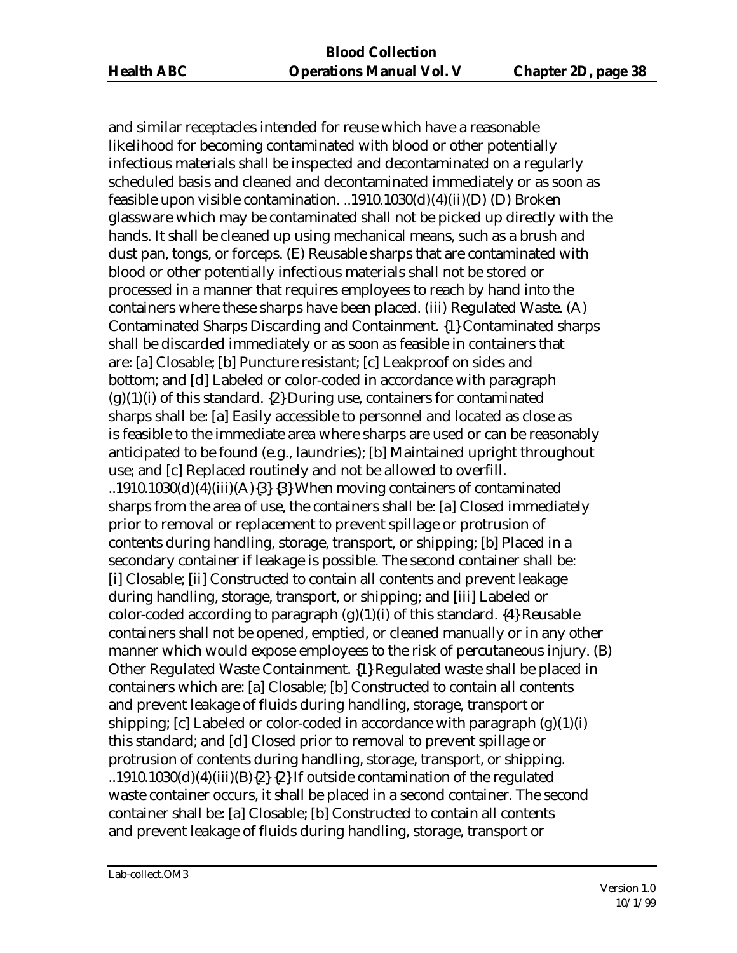and similar receptacles intended for reuse which have a reasonable likelihood for becoming contaminated with blood or other potentially infectious materials shall be inspected and decontaminated on a regularly scheduled basis and cleaned and decontaminated immediately or as soon as feasible upon visible contamination. ..1910.1030(d)(4)(ii)(D) (D) Broken glassware which may be contaminated shall not be picked up directly with the hands. It shall be cleaned up using mechanical means, such as a brush and dust pan, tongs, or forceps. (E) Reusable sharps that are contaminated with blood or other potentially infectious materials shall not be stored or processed in a manner that requires employees to reach by hand into the containers where these sharps have been placed. (iii) Regulated Waste. (A) Contaminated Sharps Discarding and Containment. {1} Contaminated sharps shall be discarded immediately or as soon as feasible in containers that are: [a] Closable; [b] Puncture resistant; [c] Leakproof on sides and bottom; and [d] Labeled or color-coded in accordance with paragraph  $(g)(1)(i)$  of this standard.  $\{2\}$  During use, containers for contaminated sharps shall be: [a] Easily accessible to personnel and located as close as is feasible to the immediate area where sharps are used or can be reasonably anticipated to be found (e.g., laundries); [b] Maintained upright throughout use; and [c] Replaced routinely and not be allowed to overfill. ..1910.1030(d)(4)(iii)(A){3} {3} When moving containers of contaminated sharps from the area of use, the containers shall be: [a] Closed immediately prior to removal or replacement to prevent spillage or protrusion of contents during handling, storage, transport, or shipping; [b] Placed in a secondary container if leakage is possible. The second container shall be: [i] Closable; [ii] Constructed to contain all contents and prevent leakage during handling, storage, transport, or shipping; and [iii] Labeled or color-coded according to paragraph  $(g)(1)(i)$  of this standard.  $\{4\}$  Reusable containers shall not be opened, emptied, or cleaned manually or in any other manner which would expose employees to the risk of percutaneous injury. (B) Other Regulated Waste Containment. {1} Regulated waste shall be placed in containers which are: [a] Closable; [b] Constructed to contain all contents and prevent leakage of fluids during handling, storage, transport or shipping; [c] Labeled or color-coded in accordance with paragraph (g)(1)(i) this standard; and [d] Closed prior to removal to prevent spillage or protrusion of contents during handling, storage, transport, or shipping. ..1910.1030(d)(4)(iii)(B){2} {2} If outside contamination of the regulated waste container occurs, it shall be placed in a second container. The second container shall be: [a] Closable; [b] Constructed to contain all contents and prevent leakage of fluids during handling, storage, transport or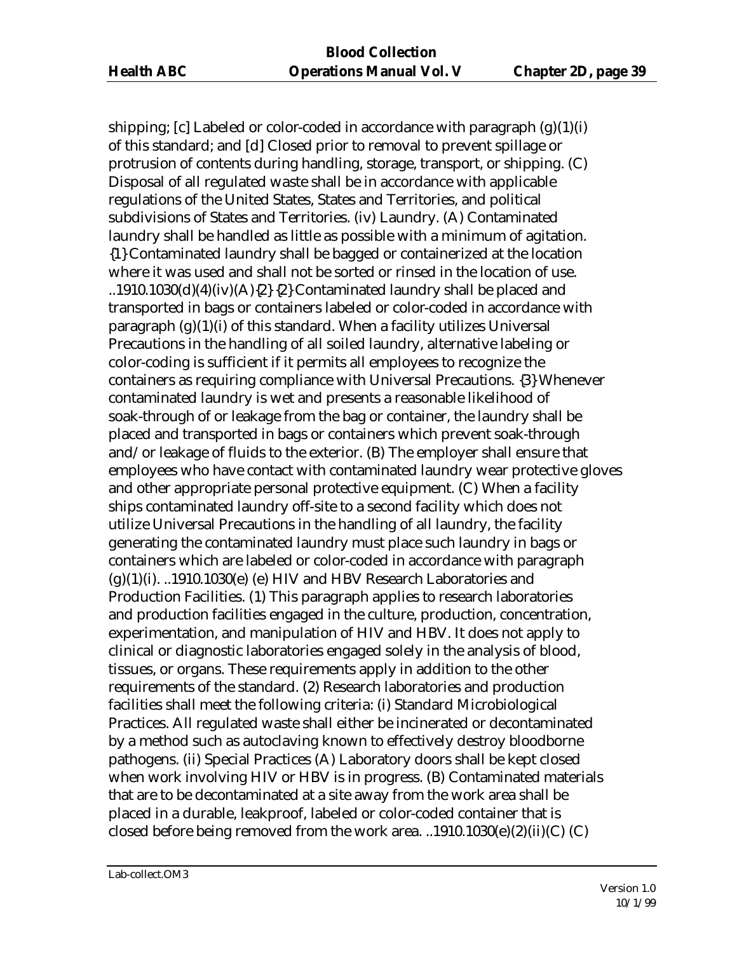shipping; [c] Labeled or color-coded in accordance with paragraph (g)(1)(i) of this standard; and [d] Closed prior to removal to prevent spillage or protrusion of contents during handling, storage, transport, or shipping. (C) Disposal of all regulated waste shall be in accordance with applicable regulations of the United States, States and Territories, and political subdivisions of States and Territories. (iv) Laundry. (A) Contaminated laundry shall be handled as little as possible with a minimum of agitation. {1} Contaminated laundry shall be bagged or containerized at the location where it was used and shall not be sorted or rinsed in the location of use. ..1910.1030(d)(4)(iv)(A){2} {2} Contaminated laundry shall be placed and transported in bags or containers labeled or color-coded in accordance with paragraph  $(g)(1)(i)$  of this standard. When a facility utilizes Universal Precautions in the handling of all soiled laundry, alternative labeling or color-coding is sufficient if it permits all employees to recognize the containers as requiring compliance with Universal Precautions. {3} Whenever contaminated laundry is wet and presents a reasonable likelihood of soak-through of or leakage from the bag or container, the laundry shall be placed and transported in bags or containers which prevent soak-through and/or leakage of fluids to the exterior. (B) The employer shall ensure that employees who have contact with contaminated laundry wear protective gloves and other appropriate personal protective equipment. (C) When a facility ships contaminated laundry off-site to a second facility which does not utilize Universal Precautions in the handling of all laundry, the facility generating the contaminated laundry must place such laundry in bags or containers which are labeled or color-coded in accordance with paragraph  $(g)(1)(i)$ . ..1910.1030 $(e)$  (e) HIV and HBV Research Laboratories and Production Facilities. (1) This paragraph applies to research laboratories and production facilities engaged in the culture, production, concentration, experimentation, and manipulation of HIV and HBV. It does not apply to clinical or diagnostic laboratories engaged solely in the analysis of blood, tissues, or organs. These requirements apply in addition to the other requirements of the standard. (2) Research laboratories and production facilities shall meet the following criteria: (i) Standard Microbiological Practices. All regulated waste shall either be incinerated or decontaminated by a method such as autoclaving known to effectively destroy bloodborne pathogens. (ii) Special Practices (A) Laboratory doors shall be kept closed when work involving HIV or HBV is in progress. (B) Contaminated materials that are to be decontaminated at a site away from the work area shall be placed in a durable, leakproof, labeled or color-coded container that is closed before being removed from the work area. ..1910.1030 $(e)(2)(ii)(C)(C)$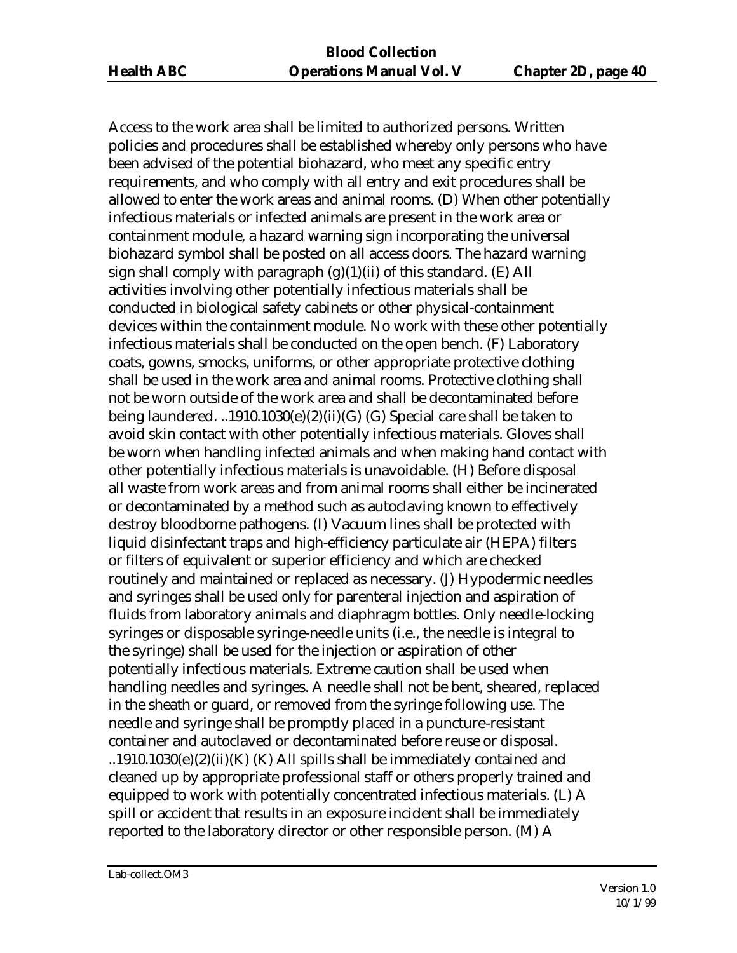Access to the work area shall be limited to authorized persons. Written policies and procedures shall be established whereby only persons who have been advised of the potential biohazard, who meet any specific entry requirements, and who comply with all entry and exit procedures shall be allowed to enter the work areas and animal rooms. (D) When other potentially infectious materials or infected animals are present in the work area or containment module, a hazard warning sign incorporating the universal biohazard symbol shall be posted on all access doors. The hazard warning sign shall comply with paragraph  $(g)(1)(ii)$  of this standard.  $(E)$  All activities involving other potentially infectious materials shall be conducted in biological safety cabinets or other physical-containment devices within the containment module. No work with these other potentially infectious materials shall be conducted on the open bench. (F) Laboratory coats, gowns, smocks, uniforms, or other appropriate protective clothing shall be used in the work area and animal rooms. Protective clothing shall not be worn outside of the work area and shall be decontaminated before being laundered. ..1910.1030(e)(2)(ii)(G) (G) Special care shall be taken to avoid skin contact with other potentially infectious materials. Gloves shall be worn when handling infected animals and when making hand contact with other potentially infectious materials is unavoidable. (H) Before disposal all waste from work areas and from animal rooms shall either be incinerated or decontaminated by a method such as autoclaving known to effectively destroy bloodborne pathogens. (I) Vacuum lines shall be protected with liquid disinfectant traps and high-efficiency particulate air (HEPA) filters or filters of equivalent or superior efficiency and which are checked routinely and maintained or replaced as necessary. (J) Hypodermic needles and syringes shall be used only for parenteral injection and aspiration of fluids from laboratory animals and diaphragm bottles. Only needle-locking syringes or disposable syringe-needle units (i.e., the needle is integral to the syringe) shall be used for the injection or aspiration of other potentially infectious materials. Extreme caution shall be used when handling needles and syringes. A needle shall not be bent, sheared, replaced in the sheath or guard, or removed from the syringe following use. The needle and syringe shall be promptly placed in a puncture-resistant container and autoclaved or decontaminated before reuse or disposal. ..1910.1030(e)(2)(ii)(K) (K) All spills shall be immediately contained and cleaned up by appropriate professional staff or others properly trained and equipped to work with potentially concentrated infectious materials. (L) A spill or accident that results in an exposure incident shall be immediately reported to the laboratory director or other responsible person. (M) A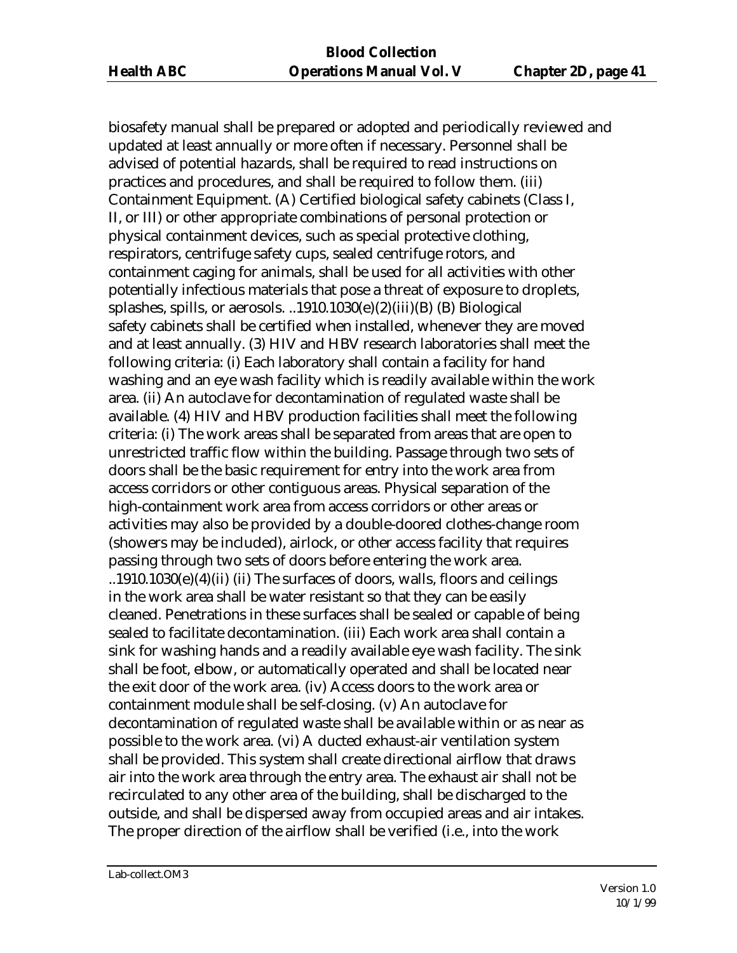biosafety manual shall be prepared or adopted and periodically reviewed and updated at least annually or more often if necessary. Personnel shall be advised of potential hazards, shall be required to read instructions on practices and procedures, and shall be required to follow them. (iii) Containment Equipment. (A) Certified biological safety cabinets (Class I, II, or III) or other appropriate combinations of personal protection or physical containment devices, such as special protective clothing, respirators, centrifuge safety cups, sealed centrifuge rotors, and containment caging for animals, shall be used for all activities with other potentially infectious materials that pose a threat of exposure to droplets, splashes, spills, or aerosols. ..1910.1030(e)(2)(iii)(B) (B) Biological safety cabinets shall be certified when installed, whenever they are moved and at least annually. (3) HIV and HBV research laboratories shall meet the following criteria: (i) Each laboratory shall contain a facility for hand washing and an eye wash facility which is readily available within the work area. (ii) An autoclave for decontamination of regulated waste shall be available. (4) HIV and HBV production facilities shall meet the following criteria: (i) The work areas shall be separated from areas that are open to unrestricted traffic flow within the building. Passage through two sets of doors shall be the basic requirement for entry into the work area from access corridors or other contiguous areas. Physical separation of the high-containment work area from access corridors or other areas or activities may also be provided by a double-doored clothes-change room (showers may be included), airlock, or other access facility that requires passing through two sets of doors before entering the work area. ..1910.1030(e)(4)(ii) (ii) The surfaces of doors, walls, floors and ceilings in the work area shall be water resistant so that they can be easily cleaned. Penetrations in these surfaces shall be sealed or capable of being sealed to facilitate decontamination. (iii) Each work area shall contain a sink for washing hands and a readily available eye wash facility. The sink shall be foot, elbow, or automatically operated and shall be located near the exit door of the work area. (iv) Access doors to the work area or containment module shall be self-closing. (v) An autoclave for decontamination of regulated waste shall be available within or as near as possible to the work area. (vi) A ducted exhaust-air ventilation system shall be provided. This system shall create directional airflow that draws air into the work area through the entry area. The exhaust air shall not be recirculated to any other area of the building, shall be discharged to the outside, and shall be dispersed away from occupied areas and air intakes. The proper direction of the airflow shall be verified (i.e., into the work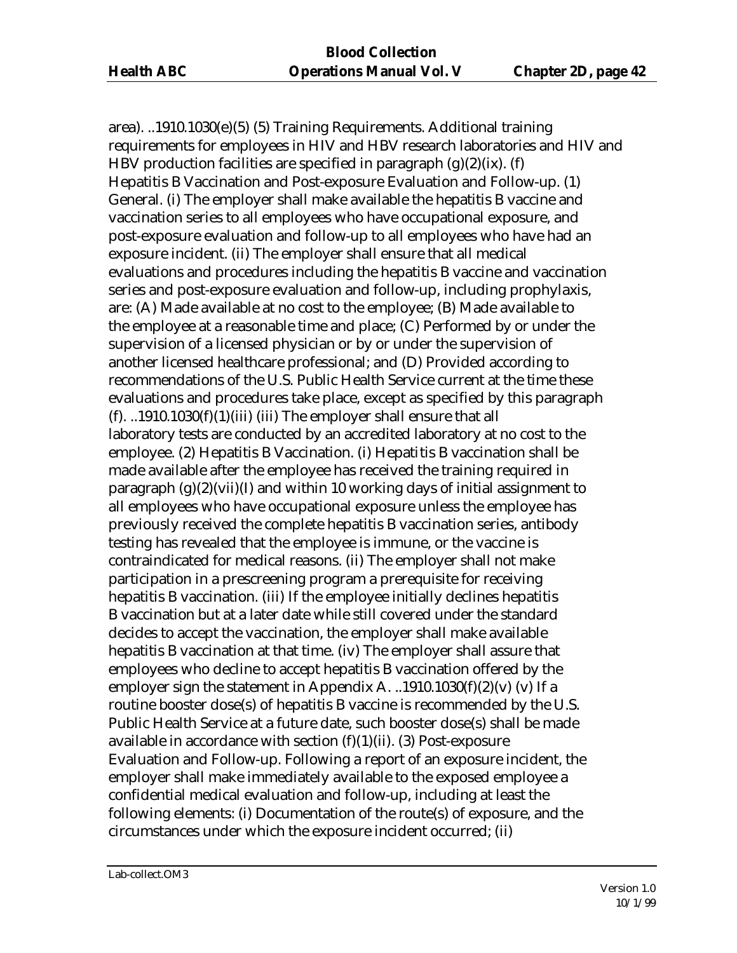area). ..1910.1030(e)(5) (5) Training Requirements. Additional training requirements for employees in HIV and HBV research laboratories and HIV and HBV production facilities are specified in paragraph  $(g)(2)(ix)$ . (f) Hepatitis B Vaccination and Post-exposure Evaluation and Follow-up. (1) General. (i) The employer shall make available the hepatitis B vaccine and vaccination series to all employees who have occupational exposure, and post-exposure evaluation and follow-up to all employees who have had an exposure incident. (ii) The employer shall ensure that all medical evaluations and procedures including the hepatitis B vaccine and vaccination series and post-exposure evaluation and follow-up, including prophylaxis, are: (A) Made available at no cost to the employee; (B) Made available to the employee at a reasonable time and place; (C) Performed by or under the supervision of a licensed physician or by or under the supervision of another licensed healthcare professional; and (D) Provided according to recommendations of the U.S. Public Health Service current at the time these evaluations and procedures take place, except as specified by this paragraph  $(f)$ . ..1910.1030 $(f)(1)(iii)$  (iii) The employer shall ensure that all laboratory tests are conducted by an accredited laboratory at no cost to the employee. (2) Hepatitis B Vaccination. (i) Hepatitis B vaccination shall be made available after the employee has received the training required in paragraph (g)(2)(vii)(I) and within 10 working days of initial assignment to all employees who have occupational exposure unless the employee has previously received the complete hepatitis B vaccination series, antibody testing has revealed that the employee is immune, or the vaccine is contraindicated for medical reasons. (ii) The employer shall not make participation in a prescreening program a prerequisite for receiving hepatitis B vaccination. (iii) If the employee initially declines hepatitis B vaccination but at a later date while still covered under the standard decides to accept the vaccination, the employer shall make available hepatitis B vaccination at that time. (iv) The employer shall assure that employees who decline to accept hepatitis B vaccination offered by the employer sign the statement in Appendix A. ..1910.1030(f)(2)(v) (v) If a routine booster dose(s) of hepatitis B vaccine is recommended by the U.S. Public Health Service at a future date, such booster dose(s) shall be made available in accordance with section  $(f)(1)(ii)$ . (3) Post-exposure Evaluation and Follow-up. Following a report of an exposure incident, the employer shall make immediately available to the exposed employee a confidential medical evaluation and follow-up, including at least the following elements: (i) Documentation of the route(s) of exposure, and the circumstances under which the exposure incident occurred; (ii)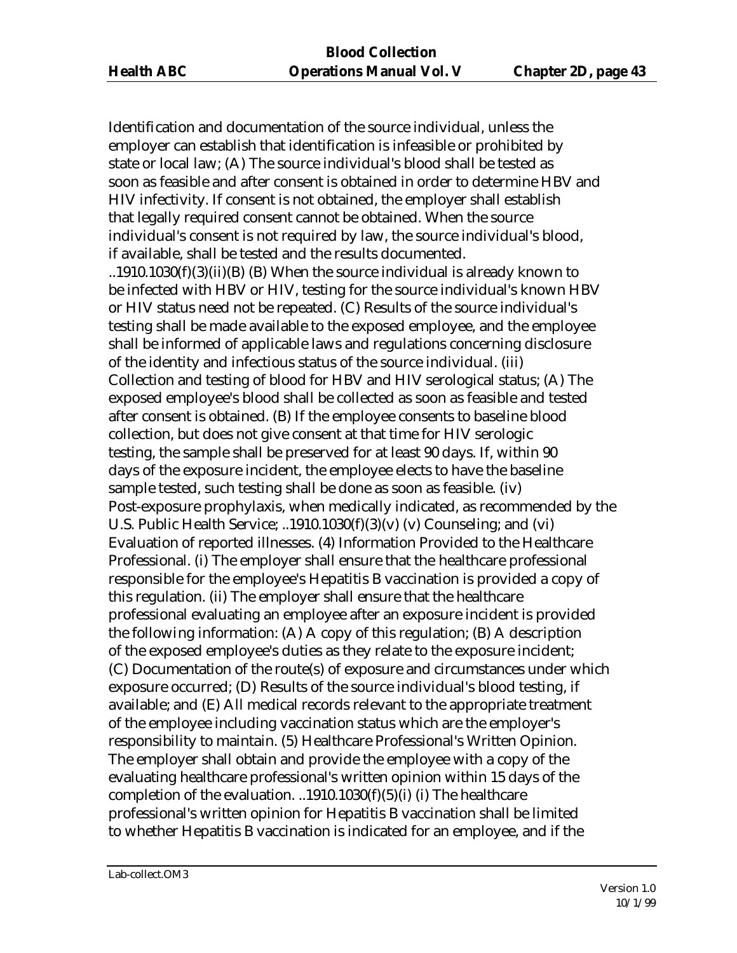Identification and documentation of the source individual, unless the employer can establish that identification is infeasible or prohibited by state or local law; (A) The source individual's blood shall be tested as soon as feasible and after consent is obtained in order to determine HBV and HIV infectivity. If consent is not obtained, the employer shall establish that legally required consent cannot be obtained. When the source individual's consent is not required by law, the source individual's blood, if available, shall be tested and the results documented. ..1910.1030(f)(3)(ii)(B) (B) When the source individual is already known to be infected with HBV or HIV, testing for the source individual's known HBV or HIV status need not be repeated. (C) Results of the source individual's testing shall be made available to the exposed employee, and the employee shall be informed of applicable laws and regulations concerning disclosure of the identity and infectious status of the source individual. (iii) Collection and testing of blood for HBV and HIV serological status; (A) The exposed employee's blood shall be collected as soon as feasible and tested after consent is obtained. (B) If the employee consents to baseline blood collection, but does not give consent at that time for HIV serologic testing, the sample shall be preserved for at least 90 days. If, within 90 days of the exposure incident, the employee elects to have the baseline sample tested, such testing shall be done as soon as feasible. (iv) Post-exposure prophylaxis, when medically indicated, as recommended by the U.S. Public Health Service; ..1910.1030(f)(3)(v) (v) Counseling; and (vi) Evaluation of reported illnesses. (4) Information Provided to the Healthcare Professional. (i) The employer shall ensure that the healthcare professional responsible for the employee's Hepatitis B vaccination is provided a copy of this regulation. (ii) The employer shall ensure that the healthcare professional evaluating an employee after an exposure incident is provided the following information: (A) A copy of this regulation; (B) A description of the exposed employee's duties as they relate to the exposure incident; (C) Documentation of the route(s) of exposure and circumstances under which exposure occurred; (D) Results of the source individual's blood testing, if available; and (E) All medical records relevant to the appropriate treatment of the employee including vaccination status which are the employer's responsibility to maintain. (5) Healthcare Professional's Written Opinion. The employer shall obtain and provide the employee with a copy of the evaluating healthcare professional's written opinion within 15 days of the completion of the evaluation. ..1910.1030 $(f)(5)(i)$  (i) The healthcare professional's written opinion for Hepatitis B vaccination shall be limited to whether Hepatitis B vaccination is indicated for an employee, and if the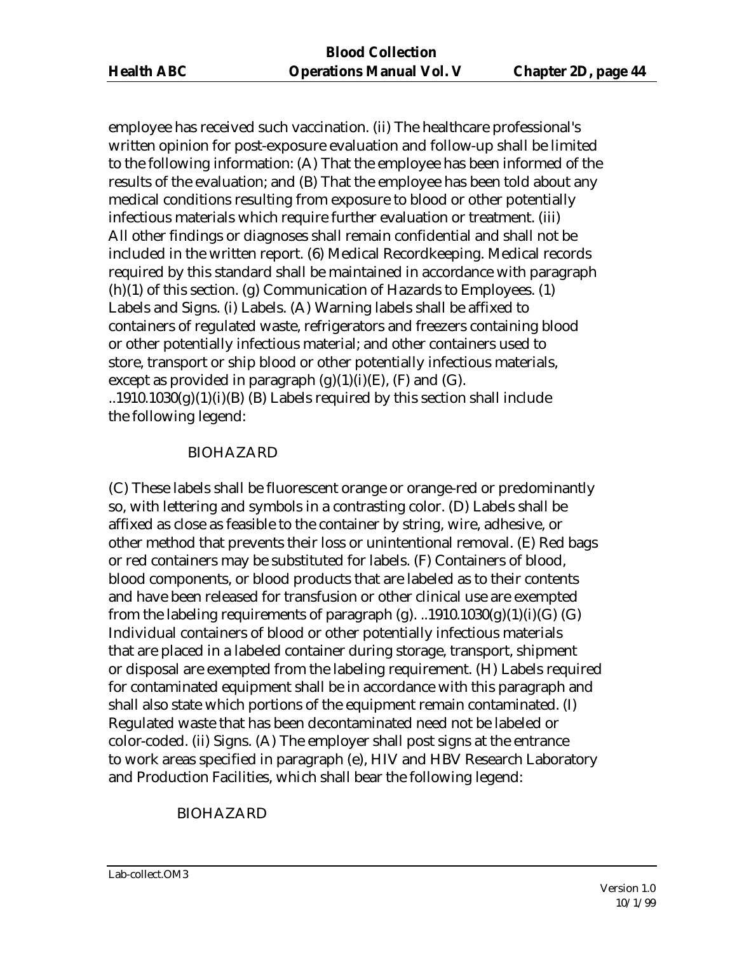employee has received such vaccination. (ii) The healthcare professional's written opinion for post-exposure evaluation and follow-up shall be limited to the following information: (A) That the employee has been informed of the results of the evaluation; and (B) That the employee has been told about any medical conditions resulting from exposure to blood or other potentially infectious materials which require further evaluation or treatment. (iii) All other findings or diagnoses shall remain confidential and shall not be included in the written report. (6) Medical Recordkeeping. Medical records required by this standard shall be maintained in accordance with paragraph (h)(1) of this section. (g) Communication of Hazards to Employees. (1) Labels and Signs. (i) Labels. (A) Warning labels shall be affixed to containers of regulated waste, refrigerators and freezers containing blood or other potentially infectious material; and other containers used to store, transport or ship blood or other potentially infectious materials, except as provided in paragraph  $(g)(1)(i)(E)$ ,  $(F)$  and  $(G)$ .  $1910.1030(g)(1)(i)(B)$  (B) Labels required by this section shall include the following legend:

#### BIOHAZARD

(C) These labels shall be fluorescent orange or orange-red or predominantly so, with lettering and symbols in a contrasting color. (D) Labels shall be affixed as close as feasible to the container by string, wire, adhesive, or other method that prevents their loss or unintentional removal. (E) Red bags or red containers may be substituted for labels. (F) Containers of blood, blood components, or blood products that are labeled as to their contents and have been released for transfusion or other clinical use are exempted from the labeling requirements of paragraph  $(g)$ . ..1910.1030 $(g)(1)(i)(G)$   $(G)$ Individual containers of blood or other potentially infectious materials that are placed in a labeled container during storage, transport, shipment or disposal are exempted from the labeling requirement. (H) Labels required for contaminated equipment shall be in accordance with this paragraph and shall also state which portions of the equipment remain contaminated. (I) Regulated waste that has been decontaminated need not be labeled or color-coded. (ii) Signs. (A) The employer shall post signs at the entrance to work areas specified in paragraph (e), HIV and HBV Research Laboratory and Production Facilities, which shall bear the following legend:

## BIOHAZARD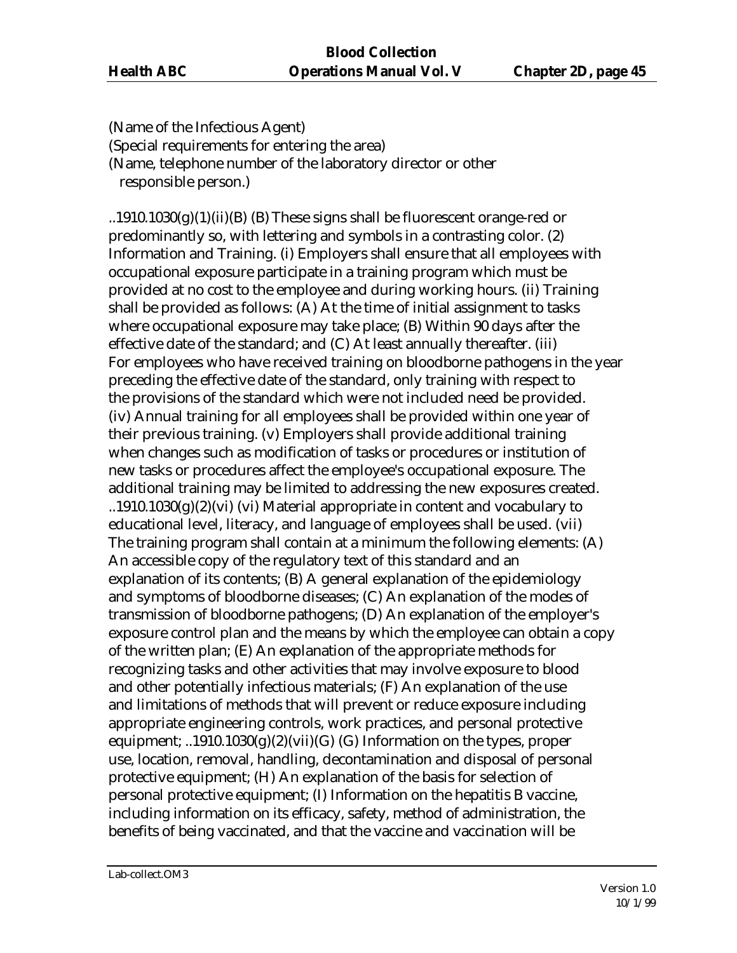(Name of the Infectious Agent)

(Special requirements for entering the area)

(Name, telephone number of the laboratory director or other

responsible person.)

 $1910.1030(g)(1)(ii)(B)$  (B) These signs shall be fluorescent orange-red or predominantly so, with lettering and symbols in a contrasting color. (2) Information and Training. (i) Employers shall ensure that all employees with occupational exposure participate in a training program which must be provided at no cost to the employee and during working hours. (ii) Training shall be provided as follows: (A) At the time of initial assignment to tasks where occupational exposure may take place; (B) Within 90 days after the effective date of the standard; and (C) At least annually thereafter. (iii) For employees who have received training on bloodborne pathogens in the year preceding the effective date of the standard, only training with respect to the provisions of the standard which were not included need be provided. (iv) Annual training for all employees shall be provided within one year of their previous training. (v) Employers shall provide additional training when changes such as modification of tasks or procedures or institution of new tasks or procedures affect the employee's occupational exposure. The additional training may be limited to addressing the new exposures created. ..1910.1030(g)(2)(vi) (vi) Material appropriate in content and vocabulary to educational level, literacy, and language of employees shall be used. (vii) The training program shall contain at a minimum the following elements: (A) An accessible copy of the regulatory text of this standard and an explanation of its contents; (B) A general explanation of the epidemiology and symptoms of bloodborne diseases; (C) An explanation of the modes of transmission of bloodborne pathogens; (D) An explanation of the employer's exposure control plan and the means by which the employee can obtain a copy of the written plan; (E) An explanation of the appropriate methods for recognizing tasks and other activities that may involve exposure to blood and other potentially infectious materials; (F) An explanation of the use and limitations of methods that will prevent or reduce exposure including appropriate engineering controls, work practices, and personal protective equipment;  $.1910.1030(g)(2)(vii)(G)$  (G) Information on the types, proper use, location, removal, handling, decontamination and disposal of personal protective equipment; (H) An explanation of the basis for selection of personal protective equipment; (I) Information on the hepatitis B vaccine, including information on its efficacy, safety, method of administration, the benefits of being vaccinated, and that the vaccine and vaccination will be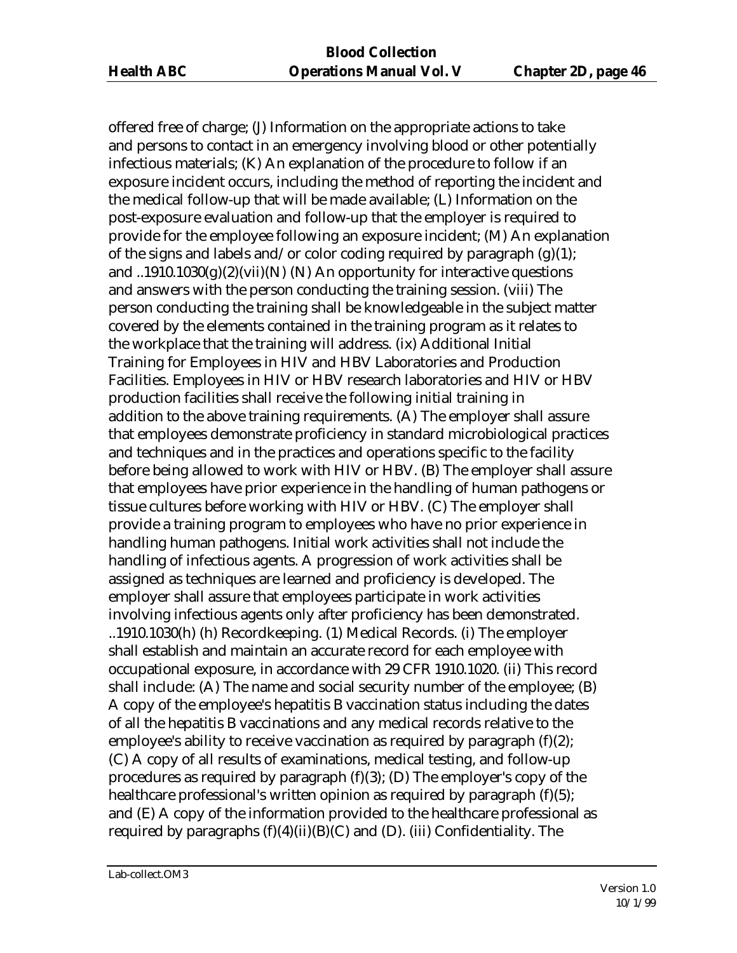offered free of charge; (J) Information on the appropriate actions to take and persons to contact in an emergency involving blood or other potentially infectious materials; (K) An explanation of the procedure to follow if an exposure incident occurs, including the method of reporting the incident and the medical follow-up that will be made available; (L) Information on the post-exposure evaluation and follow-up that the employer is required to provide for the employee following an exposure incident; (M) An explanation of the signs and labels and/or color coding required by paragraph  $(g)(1)$ ; and  $.1910.1030(g)(2)(vii)(N)$  (N) An opportunity for interactive questions and answers with the person conducting the training session. (viii) The person conducting the training shall be knowledgeable in the subject matter covered by the elements contained in the training program as it relates to the workplace that the training will address. (ix) Additional Initial Training for Employees in HIV and HBV Laboratories and Production Facilities. Employees in HIV or HBV research laboratories and HIV or HBV production facilities shall receive the following initial training in addition to the above training requirements. (A) The employer shall assure that employees demonstrate proficiency in standard microbiological practices and techniques and in the practices and operations specific to the facility before being allowed to work with HIV or HBV. (B) The employer shall assure that employees have prior experience in the handling of human pathogens or tissue cultures before working with HIV or HBV. (C) The employer shall provide a training program to employees who have no prior experience in handling human pathogens. Initial work activities shall not include the handling of infectious agents. A progression of work activities shall be assigned as techniques are learned and proficiency is developed. The employer shall assure that employees participate in work activities involving infectious agents only after proficiency has been demonstrated. ..1910.1030(h) (h) Recordkeeping. (1) Medical Records. (i) The employer shall establish and maintain an accurate record for each employee with occupational exposure, in accordance with 29 CFR 1910.1020. (ii) This record shall include: (A) The name and social security number of the employee; (B) A copy of the employee's hepatitis B vaccination status including the dates of all the hepatitis B vaccinations and any medical records relative to the employee's ability to receive vaccination as required by paragraph (f)(2); (C) A copy of all results of examinations, medical testing, and follow-up procedures as required by paragraph (f)(3); (D) The employer's copy of the healthcare professional's written opinion as required by paragraph (f)(5); and (E) A copy of the information provided to the healthcare professional as required by paragraphs  $(f)(4)(ii)(B)(C)$  and  $(D)$ . (iii) Confidentiality. The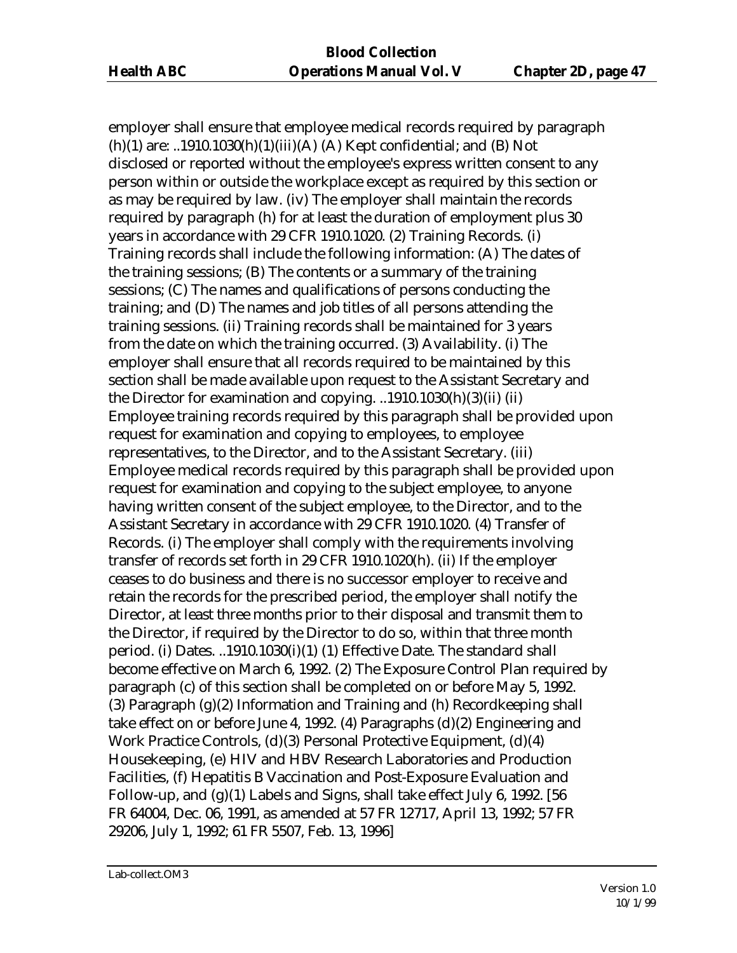employer shall ensure that employee medical records required by paragraph (h)(1) are: ..1910.1030(h)(1)(iii)(A) (A) Kept confidential; and (B) Not disclosed or reported without the employee's express written consent to any person within or outside the workplace except as required by this section or as may be required by law. (iv) The employer shall maintain the records required by paragraph (h) for at least the duration of employment plus 30 years in accordance with 29 CFR 1910.1020. (2) Training Records. (i) Training records shall include the following information: (A) The dates of the training sessions; (B) The contents or a summary of the training sessions; (C) The names and qualifications of persons conducting the training; and (D) The names and job titles of all persons attending the training sessions. (ii) Training records shall be maintained for 3 years from the date on which the training occurred. (3) Availability. (i) The employer shall ensure that all records required to be maintained by this section shall be made available upon request to the Assistant Secretary and the Director for examination and copying. ..1910.1030(h)(3)(ii) (ii) Employee training records required by this paragraph shall be provided upon request for examination and copying to employees, to employee representatives, to the Director, and to the Assistant Secretary. (iii) Employee medical records required by this paragraph shall be provided upon request for examination and copying to the subject employee, to anyone having written consent of the subject employee, to the Director, and to the Assistant Secretary in accordance with 29 CFR 1910.1020. (4) Transfer of Records. (i) The employer shall comply with the requirements involving transfer of records set forth in 29 CFR 1910.1020(h). (ii) If the employer ceases to do business and there is no successor employer to receive and retain the records for the prescribed period, the employer shall notify the Director, at least three months prior to their disposal and transmit them to the Director, if required by the Director to do so, within that three month period. (i) Dates. ..1910.1030(i)(1) (1) Effective Date. The standard shall become effective on March 6, 1992. (2) The Exposure Control Plan required by paragraph (c) of this section shall be completed on or before May 5, 1992. (3) Paragraph (g)(2) Information and Training and (h) Recordkeeping shall take effect on or before June 4, 1992. (4) Paragraphs (d)(2) Engineering and Work Practice Controls, (d)(3) Personal Protective Equipment, (d)(4) Housekeeping, (e) HIV and HBV Research Laboratories and Production Facilities, (f) Hepatitis B Vaccination and Post-Exposure Evaluation and Follow-up, and  $(g)(1)$  Labels and Signs, shall take effect July 6, 1992. [56] FR 64004, Dec. 06, 1991, as amended at 57 FR 12717, April 13, 1992; 57 FR 29206, July 1, 1992; 61 FR 5507, Feb. 13, 1996]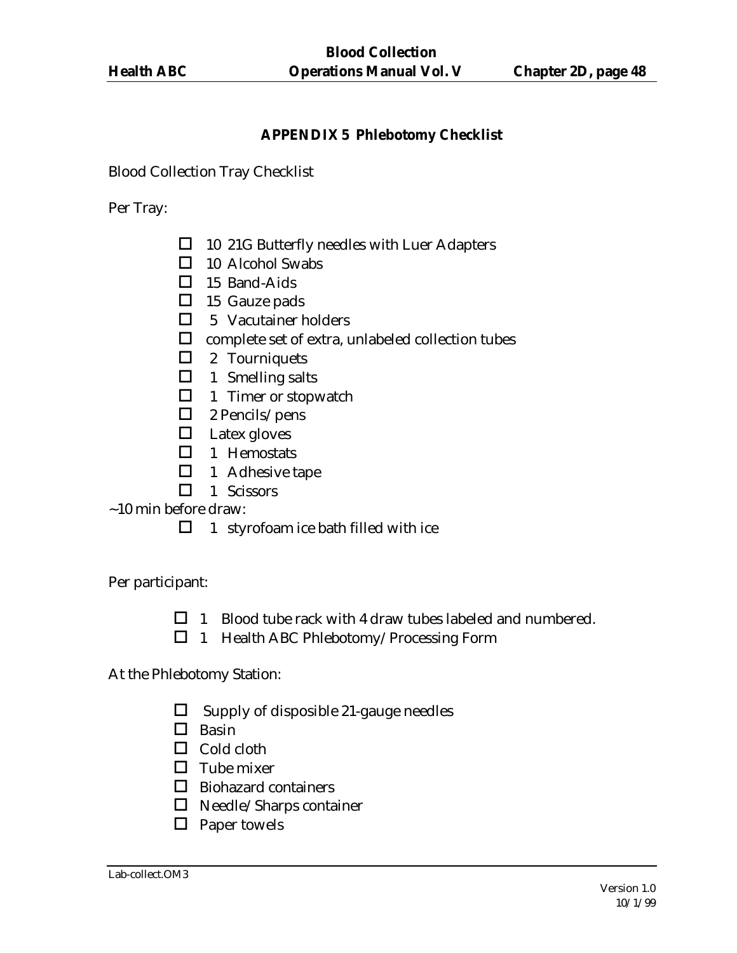## **APPENDIX 5 Phlebotomy Checklist**

Blood Collection Tray Checklist

Per Tray:

- $\Box$  10 21G Butterfly needles with Luer Adapters
- $\Box$  10 Alcohol Swabs
- $\Box$  15 Band-Aids
- $\Box$  15 Gauze pads
- $\Box$  5 Vacutainer holders
- $\Box$  complete set of extra, unlabeled collection tubes
- $\Box$  2 Tourniquets
- $\Box$  1 Smelling salts
- $\Box$  1 Timer or stopwatch
- $\Box$  2 Pencils/pens
- $\Box$  Latex gloves
- $\Box$  1 Hemostats
- $\Box$  1 Adhesive tape
- $\Box$  1 Scissors
- ~10 min before draw:
	- $\Box$  1 styrofoam ice bath filled with ice

Per participant:

- $\Box$  1 Blood tube rack with 4 draw tubes labeled and numbered.
- $\Box$  1 Health ABC Phlebotomy/Processing Form

At the Phlebotomy Station:

- $\Box$  Supply of disposible 21-gauge needles
- $\Box$  Basin
- $\Box$  Cold cloth
- $\Box$  Tube mixer
- $\Box$  Biohazard containers
- $\Box$  Needle/Sharps container
- $\square$  Paper towels